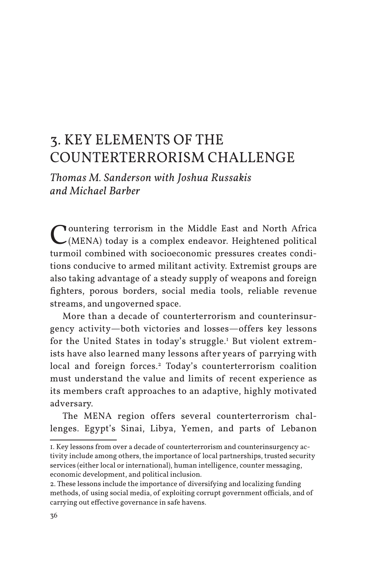# 3. KEY ELEMENTS OF THE COUNTERTERRORISM CHALLENGE

*Thomas M. Sanderson with Joshua Russakis and Michael Barber*

Countering terrorism in the Middle East and North Africa (MENA) today is a complex endeavor. Heightened political turmoil combined with socioeconomic pressures creates conditions conducive to armed militant activity. Extremist groups are also taking advantage of a steady supply of weapons and foreign fighters, porous borders, social media tools, reliable revenue streams, and ungoverned space.

More than a decade of counterterrorism and counterinsurgency activity—both victories and losses—offers key lessons for the United States in today's struggle.<sup>1</sup> But violent extremists have also learned many lessons after years of parrying with local and foreign forces.<sup>2</sup> Today's counterterrorism coalition must understand the value and limits of recent experience as its members craft approaches to an adaptive, highly motivated adversary.

The MENA region offers several counterterrorism challenges. Egypt's Sinai, Libya, Yemen, and parts of Lebanon

<sup>1.</sup> Key lessons from over a decade of counterterrorism and counterinsurgency activity include among others, the importance of local partnerships, trusted security services (either local or international), human intelligence, counter messaging, economic development, and political inclusion.

<sup>2.</sup> These lessons include the importance of diversifying and localizing funding methods, of using social media, of exploiting corrupt government officials, and of carrying out effective governance in safe havens.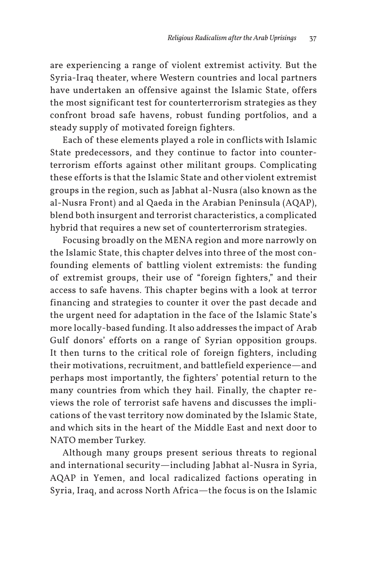are experiencing a range of violent extremist activity. But the Syria-Iraq theater, where Western countries and local partners have undertaken an offensive against the Islamic State, offers the most significant test for counterterrorism strategies as they confront broad safe havens, robust funding portfolios, and a steady supply of motivated foreign fighters.

Each of these elements played a role in conflicts with Islamic State predecessors, and they continue to factor into counterterrorism efforts against other militant groups. Complicating these efforts is that the Islamic State and other violent extremist groups in the region, such as Jabhat al-Nusra (also known as the al-Nusra Front) and al Qaeda in the Arabian Peninsula (AQAP), blend both insurgent and terrorist characteristics, a complicated hybrid that requires a new set of counterterrorism strategies.

Focusing broadly on the MENA region and more narrowly on the Islamic State, this chapter delves into three of the most confounding elements of battling violent extremists: the funding of extremist groups, their use of "foreign fighters," and their access to safe havens. This chapter begins with a look at terror financing and strategies to counter it over the past decade and the urgent need for adaptation in the face of the Islamic State's more locally-based funding. It also addresses the impact of Arab Gulf donors' efforts on a range of Syrian opposition groups. It then turns to the critical role of foreign fighters, including their motivations, recruitment, and battlefield experience—and perhaps most importantly, the fighters' potential return to the many countries from which they hail. Finally, the chapter reviews the role of terrorist safe havens and discusses the implications of the vast territory now dominated by the Islamic State, and which sits in the heart of the Middle East and next door to NATO member Turkey.

Although many groups present serious threats to regional and international security—including Jabhat al-Nusra in Syria, AQAP in Yemen, and local radicalized factions operating in Syria, Iraq, and across North Africa—the focus is on the Islamic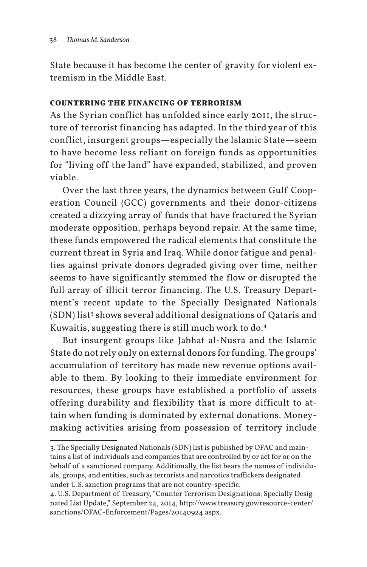State because it has become the center of gravity for violent extremism in the Middle East.

## **COUNTERING THE FINANCING OF TERRORISM**

As the Syrian conflict has unfolded since early 2011, the structure of terrorist financing has adapted. In the third year of this conflict, insurgent groups—especially the Islamic State—seem to have become less reliant on foreign funds as opportunities for "living off the land" have expanded, stabilized, and proven viable.

Over the last three years, the dynamics between Gulf Cooperation Council (GCC) governments and their donor-citizens created a dizzying array of funds that have fractured the Syrian moderate opposition, perhaps beyond repair. At the same time, these funds empowered the radical elements that constitute the current threat in Syria and Iraq. While donor fatigue and penalties against private donors degraded giving over time, neither seems to have significantly stemmed the flow or disrupted the full array of illicit terror financing. The U.S. Treasury Department's recent update to the Specially Designated Nationals (SDN) list<sup>3</sup> shows several additional designations of Qataris and Kuwaitis, suggesting there is still much work to do.4

But insurgent groups like Jabhat al-Nusra and the Islamic State do not rely only on external donors for funding. The groups' accumulation of territory has made new revenue options available to them. By looking to their immediate environment for resources, these groups have established a portfolio of assets offering durability and flexibility that is more difficult to attain when funding is dominated by external donations. Moneymaking activities arising from possession of territory include

<sup>3.</sup> The Specially Designated Nationals (SDN) list is published by OFAC and maintains a list of individuals and companies that are controlled by or act for or on the behalf of a sanctioned company. Additionally, the list bears the names of individuals, groups, and entities, such as terrorists and narcotics traffickers designated under U.S. sanction programs that are not country-specific.

<sup>4.</sup> U.S. Department of Treasury, "Counter Terrorism Designations: Specially Designated List Update," September 24, 2014, http://www.treasury.gov/resource-center/ sanctions/OFAC-Enforcement/Pages/20140924.aspx.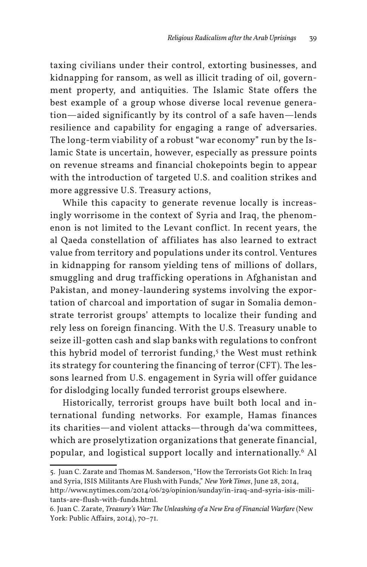taxing civilians under their control, extorting businesses, and kidnapping for ransom, as well as illicit trading of oil, government property, and antiquities. The Islamic State offers the best example of a group whose diverse local revenue generation—aided significantly by its control of a safe haven—lends resilience and capability for engaging a range of adversaries. The long-term viability of a robust "war economy" run by the Islamic State is uncertain, however, especially as pressure points on revenue streams and financial chokepoints begin to appear with the introduction of targeted U.S. and coalition strikes and more aggressive U.S. Treasury actions,

While this capacity to generate revenue locally is increasingly worrisome in the context of Syria and Iraq, the phenomenon is not limited to the Levant conflict. In recent years, the al Qaeda constellation of affiliates has also learned to extract value from territory and populations under its control. Ventures in kidnapping for ransom yielding tens of millions of dollars, smuggling and drug trafficking operations in Afghanistan and Pakistan, and money-laundering systems involving the exportation of charcoal and importation of sugar in Somalia demonstrate terrorist groups' attempts to localize their funding and rely less on foreign financing. With the U.S. Treasury unable to seize ill-gotten cash and slap banks with regulations to confront this hybrid model of terrorist funding,<sup>5</sup> the West must rethink its strategy for countering the financing of terror (CFT). The lessons learned from U.S. engagement in Syria will offer guidance for dislodging locally funded terrorist groups elsewhere.

Historically, terrorist groups have built both local and international funding networks. For example, Hamas finances its charities—and violent attacks—through da'wa committees, which are proselytization organizations that generate financial, popular, and logistical support locally and internationally.6 Al

<sup>5.</sup> Juan C. Zarate and Thomas M. Sanderson, "How the Terrorists Got Rich: In Iraq and Syria, ISIS Militants Are Flush with Funds," *New York Times*, June 28, 2014, http://www.nytimes.com/2014/06/29/opinion/sunday/in-iraq-and-syria-isis-militants-are-flush-with-funds.html.

<sup>6.</sup> Juan C. Zarate, *Treasury's War: The Unleashing of a New Era of Financial Warfare* (New York: Public Affairs, 2014), 70–71.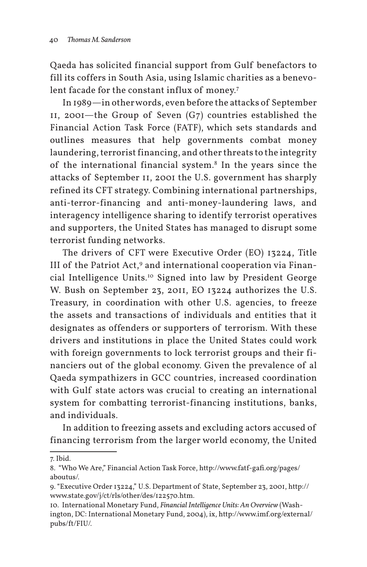Qaeda has solicited financial support from Gulf benefactors to fill its coffers in South Asia, using Islamic charities as a benevolent facade for the constant influx of money.<sup>7</sup>

In 1989—in other words, even before the attacks of September 11, 2001—the Group of Seven (G7) countries established the Financial Action Task Force (FATF), which sets standards and outlines measures that help governments combat money laundering, terrorist financing, and other threats to the integrity of the international financial system.8 In the years since the attacks of September 11, 2001 the U.S. government has sharply refined its CFT strategy. Combining international partnerships, anti-terror-financing and anti-money-laundering laws, and interagency intelligence sharing to identify terrorist operatives and supporters, the United States has managed to disrupt some terrorist funding networks.

The drivers of CFT were Executive Order (EO) 13224, Title III of the Patriot Act,<sup>9</sup> and international cooperation via Financial Intelligence Units.10 Signed into law by President George W. Bush on September 23, 2011, EO 13224 authorizes the U.S. Treasury, in coordination with other U.S. agencies, to freeze the assets and transactions of individuals and entities that it designates as offenders or supporters of terrorism. With these drivers and institutions in place the United States could work with foreign governments to lock terrorist groups and their financiers out of the global economy. Given the prevalence of al Qaeda sympathizers in GCC countries, increased coordination with Gulf state actors was crucial to creating an international system for combatting terrorist-financing institutions, banks, and individuals.

In addition to freezing assets and excluding actors accused of financing terrorism from the larger world economy, the United

<sup>7.</sup> Ibid.

<sup>8. &</sup>quot;Who We Are," Financial Action Task Force, http://www.fatf-gafi.org/pages/ aboutus/.

<sup>9. &</sup>quot;Executive Order 13224," U.S. Department of State, September 23, 2001, http:// www.state.gov/j/ct/rls/other/des/122570.htm.

<sup>10.</sup> International Monetary Fund, *Financial Intelligence Units: An Overview* (Washington, DC: International Monetary Fund, 2004), ix, http://www.imf.org/external/ pubs/ft/FIU/.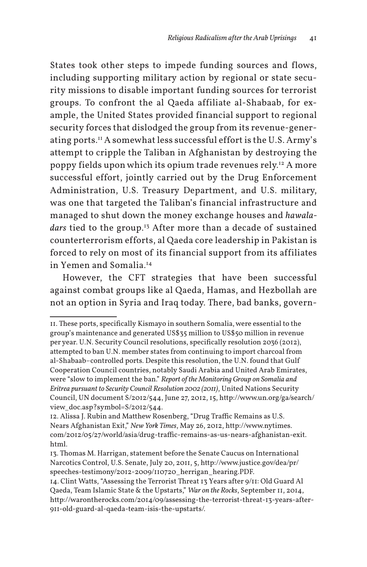States took other steps to impede funding sources and flows, including supporting military action by regional or state security missions to disable important funding sources for terrorist groups. To confront the al Qaeda affiliate al-Shabaab, for example, the United States provided financial support to regional security forces that dislodged the group from its revenue-generating ports.<sup>11</sup> A somewhat less successful effort is the U.S. Army's attempt to cripple the Taliban in Afghanistan by destroying the poppy fields upon which its opium trade revenues rely.<sup>12</sup> A more successful effort, jointly carried out by the Drug Enforcement Administration, U.S. Treasury Department, and U.S. military, was one that targeted the Taliban's financial infrastructure and managed to shut down the money exchange houses and *hawala*dars tied to the group.<sup>13</sup> After more than a decade of sustained counterterrorism efforts, al Qaeda core leadership in Pakistan is forced to rely on most of its financial support from its affiliates in Yemen and Somalia.14

However, the CFT strategies that have been successful against combat groups like al Qaeda, Hamas, and Hezbollah are not an option in Syria and Iraq today. There, bad banks, govern-

<sup>11.</sup> These ports, specifically Kismayo in southern Somalia, were essential to the group's maintenance and generated US\$35 million to US\$50 million in revenue per year. U.N. Security Council resolutions, specifically resolution 2036 (2012), attempted to ban U.N. member states from continuing to import charcoal from al-Shabaab–controlled ports. Despite this resolution, the U.N. found that Gulf Cooperation Council countries, notably Saudi Arabia and United Arab Emirates, were "slow to implement the ban." *Report of the Monitoring Group on Somalia and Eritrea pursuant to Security Council Resolution 2002 (2011)*, United Nations Security Council, UN document S/2012/544, June 27, 2012, 15, http://www.un.org/ga/search/ view\_doc.asp?symbol=S/2012/544.

<sup>12.</sup> Alissa J. Rubin and Matthew Rosenberg, "Drug Traffic Remains as U.S. Nears Afghanistan Exit," *New York Times*, May 26, 2012, http://www.nytimes. com/2012/05/27/world/asia/drug-traffic-remains-as-us-nears-afghanistan-exit. html.

<sup>13.</sup> Thomas M. Harrigan, statement before the Senate Caucus on International Narcotics Control, U.S. Senate, July 20, 2011, 5, http://www.justice.gov/dea/pr/ speeches-testimony/2012-2009/110720\_herrigan\_hearing.PDF.

<sup>14.</sup> Clint Watts, "Assessing the Terrorist Threat 13 Years after 9/11: Old Guard Al Qaeda, Team Islamic State & the Upstarts," *War on the Rocks*, September 11, 2014, http://warontherocks.com/2014/09/assessing-the-terrorist-threat-13-years-after-911-old-guard-al-qaeda-team-isis-the-upstarts/.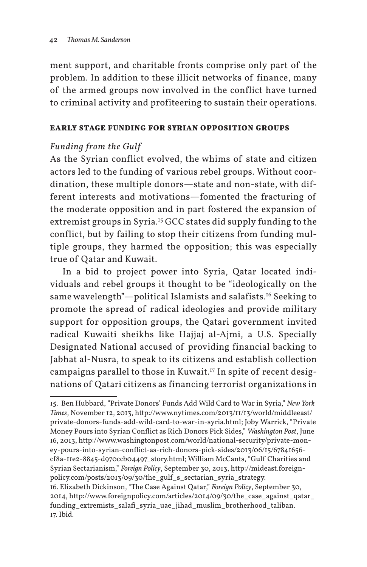ment support, and charitable fronts comprise only part of the problem. In addition to these illicit networks of finance, many of the armed groups now involved in the conflict have turned to criminal activity and profiteering to sustain their operations.

#### **EARLY STAGE FUNDING FOR SYRIAN OPPOSITION GROUPS**

## *Funding from the Gulf*

As the Syrian conflict evolved, the whims of state and citizen actors led to the funding of various rebel groups. Without coordination, these multiple donors—state and non-state, with different interests and motivations—fomented the fracturing of the moderate opposition and in part fostered the expansion of extremist groups in Syria.<sup>15</sup> GCC states did supply funding to the conflict, but by failing to stop their citizens from funding multiple groups, they harmed the opposition; this was especially true of Qatar and Kuwait.

In a bid to project power into Syria, Qatar located individuals and rebel groups it thought to be "ideologically on the same wavelength"—political Islamists and salafists.<sup>16</sup> Seeking to promote the spread of radical ideologies and provide military support for opposition groups, the Qatari government invited radical Kuwaiti sheikhs like Hajjaj al-Ajmi, a U.S. Specially Designated National accused of providing financial backing to Jabhat al-Nusra, to speak to its citizens and establish collection campaigns parallel to those in Kuwait.17 In spite of recent designations of Qatari citizens as financing terrorist organizations in

<sup>15.</sup> Ben Hubbard, "Private Donors' Funds Add Wild Card to War in Syria," *New York Times*, November 12, 2013, http://www.nytimes.com/2013/11/13/world/middleeast/ private-donors-funds-add-wild-card-to-war-in-syria.html; Joby Warrick, "Private Money Pours into Syrian Conflict as Rich Donors Pick Sides," *Washington Post*, June 16, 2013, http://www.washingtonpost.com/world/national-security/private-money-pours-into-syrian-conflict-as-rich-donors-pick-sides/2013/06/15/67841656 cf8a-11e2-8845-d970ccb04497\_story.html; William McCants, "Gulf Charities and Syrian Sectarianism," *Foreign Policy*, September 30, 2013, http://mideast.foreignpolicy.com/posts/2013/09/30/the\_gulf\_s\_sectarian\_syria\_strategy. 16. Elizabeth Dickinson, "The Case Against Qatar," *Foreign Policy*, September 30, 2014, http://www.foreignpolicy.com/articles/2014/09/30/the\_case\_against\_qatar\_ funding\_extremists\_salafi\_syria\_uae\_jihad\_muslim\_brotherhood\_taliban. 17. Ibid.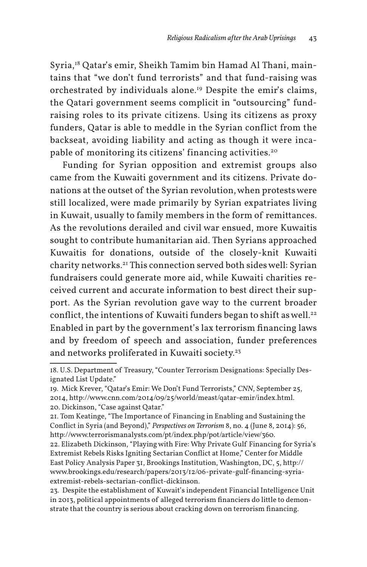Syria,18 Qatar's emir, Sheikh Tamim bin Hamad Al Thani, maintains that "we don't fund terrorists" and that fund-raising was orchestrated by individuals alone.19 Despite the emir's claims, the Qatari government seems complicit in "outsourcing" fundraising roles to its private citizens. Using its citizens as proxy funders, Qatar is able to meddle in the Syrian conflict from the backseat, avoiding liability and acting as though it were incapable of monitoring its citizens' financing activities.<sup>20</sup>

Funding for Syrian opposition and extremist groups also came from the Kuwaiti government and its citizens. Private donations at the outset of the Syrian revolution, when protests were still localized, were made primarily by Syrian expatriates living in Kuwait, usually to family members in the form of remittances. As the revolutions derailed and civil war ensued, more Kuwaitis sought to contribute humanitarian aid. Then Syrians approached Kuwaitis for donations, outside of the closely-knit Kuwaiti charity networks.21 This connection served both sides well: Syrian fundraisers could generate more aid, while Kuwaiti charities received current and accurate information to best direct their support. As the Syrian revolution gave way to the current broader conflict, the intentions of Kuwaiti funders began to shift as well.<sup>22</sup> Enabled in part by the government's lax terrorism financing laws and by freedom of speech and association, funder preferences and networks proliferated in Kuwaiti society.<sup>23</sup>

<sup>18.</sup> U.S. Department of Treasury, "Counter Terrorism Designations: Specially Designated List Update."

<sup>19.</sup> Mick Krever, "Qatar's Emir: We Don't Fund Terrorists," *CNN*, September 25, 2014, http://www.cnn.com/2014/09/25/world/meast/qatar-emir/index.html. 20. Dickinson, "Case against Qatar."

<sup>21.</sup> Tom Keatinge, "The Importance of Financing in Enabling and Sustaining the Conflict in Syria (and Beyond)," *Perspectives on Terrorism* 8, no. 4 (June 8, 2014): 56, http://www.terrorismanalysts.com/pt/index.php/pot/article/view/360.

<sup>22.</sup> Elizabeth Dickinson, "Playing with Fire: Why Private Gulf Financing for Syria's Extremist Rebels Risks Igniting Sectarian Conflict at Home," Center for Middle East Policy Analysis Paper 31, Brookings Institution, Washington, DC, 5, http:// www.brookings.edu/research/papers/2013/12/06-private-gulf-financing-syriaextremist-rebels-sectarian-conflict-dickinson.

<sup>23.</sup> Despite the establishment of Kuwait's independent Financial Intelligence Unit in 2013, political appointments of alleged terrorism financiers do little to demonstrate that the country is serious about cracking down on terrorism financing.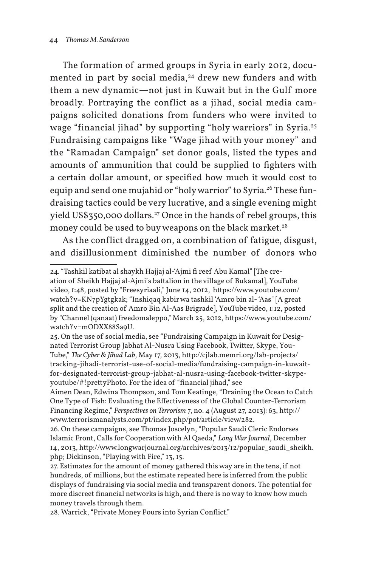The formation of armed groups in Syria in early 2012, documented in part by social media,<sup>24</sup> drew new funders and with them a new dynamic—not just in Kuwait but in the Gulf more broadly. Portraying the conflict as a jihad, social media campaigns solicited donations from funders who were invited to wage "financial jihad" by supporting "holy warriors" in Syria.<sup>25</sup> Fundraising campaigns like "Wage jihad with your money" and the "Ramadan Campaign" set donor goals, listed the types and amounts of ammunition that could be supplied to fighters with a certain dollar amount, or specified how much it would cost to equip and send one mujahid or "holy warrior" to Syria.<sup>26</sup> These fundraising tactics could be very lucrative, and a single evening might yield US\$350,000 dollars.<sup>27</sup> Once in the hands of rebel groups, this money could be used to buy weapons on the black market.<sup>28</sup>

As the conflict dragged on, a combination of fatigue, disgust, and disillusionment diminished the number of donors who

ation of Sheikh Hajjaj al-Ajmi's battalion in the village of Bukamal], YouTube video, 1:48, posted by "Freesyriaali," June 14, 2012, https://www.youtube.com/ watch?v=KN7pYgtgkak; "Inshiqaq kabir wa tashkil 'Amro bin al- 'Aas" [A great split and the creation of Amro Bin Al-Aas Brigrade], YouTube video, 1:12, posted by "Channel (qanaat) freedomaleppo," March 25, 2012, https://www.youtube.com/ watch?v=mODXX88Sa9U.

<sup>24</sup>*.* "Tashkil katibat al shaykh Hajjaj al-'Ajmi fi reef Abu Kamal" [The cre-

<sup>25.</sup> On the use of social media, see "Fundraising Campaign in Kuwait for Designated Terrorist Group Jabhat Al-Nusra Using Facebook, Twitter, Skype, You-Tube," *The Cyber & Jihad Lab*, May 17, 2013, http://cjlab.memri.org/lab-projects/ tracking-jihadi-terrorist-use-of-social-media/fundraising-campaign-in-kuwaitfor-designated-terrorist-group-jabhat-al-nusra-using-facebook-twitter-skypeyoutube/#!prettyPhoto. For the idea of "financial jihad," see

Aimen Dean, Edwina Thompson, and Tom Keatinge, "Draining the Ocean to Catch One Type of Fish: Evaluating the Effectiveness of the Global Counter-Terrorism Financing Regime," *Perspectives on Terrorism* 7, no. 4 (August 27, 2013): 63, http:// www.terrorismanalysts.com/pt/index.php/pot/article/view/282.

<sup>26.</sup> On these campaigns, see Thomas Joscelyn, "Popular Saudi Cleric Endorses Islamic Front, Calls for Cooperation with Al Qaeda," *Long War Journal*, December 14, 2013, http://www.longwarjournal.org/archives/2013/12/popular\_saudi\_sheikh. php; Dickinson, "Playing with Fire," 13, 15.

<sup>27.</sup> Estimates for the amount of money gathered this way are in the tens, if not hundreds, of millions, but the estimate repeated here is inferred from the public displays of fundraising via social media and transparent donors. The potential for more discreet financial networks is high, and there is no way to know how much money travels through them.

<sup>28.</sup> Warrick, "Private Money Pours into Syrian Conflict."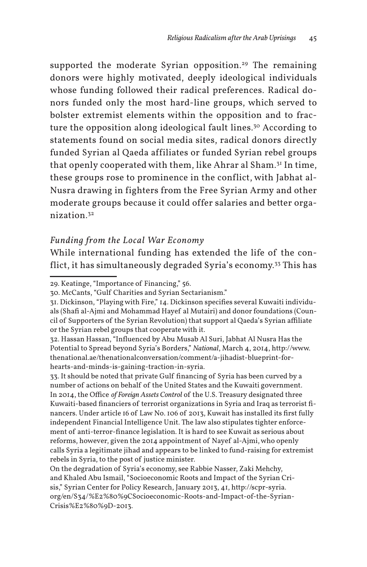supported the moderate Syrian opposition.<sup>29</sup> The remaining donors were highly motivated, deeply ideological individuals whose funding followed their radical preferences. Radical donors funded only the most hard-line groups, which served to bolster extremist elements within the opposition and to fracture the opposition along ideological fault lines.<sup>30</sup> According to statements found on social media sites, radical donors directly funded Syrian al Qaeda affiliates or funded Syrian rebel groups that openly cooperated with them, like Ahrar al Sham.<sup>31</sup> In time, these groups rose to prominence in the conflict, with Jabhat al-Nusra drawing in fighters from the Free Syrian Army and other moderate groups because it could offer salaries and better organization.32

## *Funding from the Local War Economy*

While international funding has extended the life of the conflict, it has simultaneously degraded Syria's economy.33 This has

<sup>29.</sup> Keatinge, "Importance of Financing," 56.

<sup>30.</sup> McCants, "Gulf Charities and Syrian Sectarianism."

<sup>31.</sup> Dickinson, "Playing with Fire," 14. Dickinson specifies several Kuwaiti individuals (Shafi al-Ajmi and Mohammad Hayef al Mutairi) and donor foundations (Council of Supporters of the Syrian Revolution) that support al Qaeda's Syrian affiliate or the Syrian rebel groups that cooperate with it.

<sup>32.</sup> Hassan Hassan, "Influenced by Abu Musab Al Suri, Jabhat Al Nusra Has the Potential to Spread beyond Syria's Borders," *National*, March 4, 2014, http://www. thenational.ae/thenationalconversation/comment/a-jihadist-blueprint-forhearts-and-minds-is-gaining-traction-in-syria.

<sup>33.</sup> It should be noted that private Gulf financing of Syria has been curved by a number of actions on behalf of the United States and the Kuwaiti government. In 2014, the Office *of Foreign Assets Control* of the U.S. Treasury designated three Kuwaiti-based financiers of terrorist organizations in Syria and Iraq as terrorist financers. Under article 16 of Law No. 106 of 2013, Kuwait has installed its first fully independent Financial Intelligence Unit. The law also stipulates tighter enforcement of anti-terror-finance legislation. It is hard to see Kuwait as serious about reforms, however, given the 2014 appointment of Nayef al-Ajmi, who openly calls Syria a legitimate jihad and appears to be linked to fund-raising for extremist rebels in Syria, to the post of justice minister.

On the degradation of Syria's economy, see Rabbie Nasser, Zaki Mehchy, and Khaled Abu Ismail, "Socioeconomic Roots and Impact of the Syrian Crisis," Syrian Center for Policy Research, January 2013, 41, http://scpr-syria. org/en/S34/%E2%80%9CSocioeconomic-Roots-and-Impact-of-the-Syrian-Crisis%E2%80%9D-2013.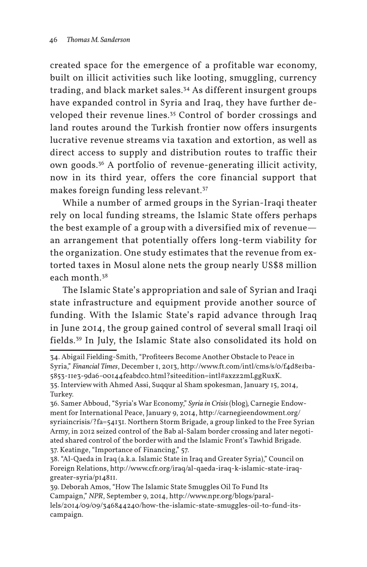created space for the emergence of a profitable war economy, built on illicit activities such like looting, smuggling, currency trading, and black market sales.34 As different insurgent groups have expanded control in Syria and Iraq, they have further developed their revenue lines.<sup>35</sup> Control of border crossings and land routes around the Turkish frontier now offers insurgents lucrative revenue streams via taxation and extortion, as well as direct access to supply and distribution routes to traffic their own goods.36 A portfolio of revenue-generating illicit activity, now in its third year, offers the core financial support that makes foreign funding less relevant.37

While a number of armed groups in the Syrian-Iraqi theater rely on local funding streams, the Islamic State offers perhaps the best example of a group with a diversified mix of revenue an arrangement that potentially offers long-term viability for the organization. One study estimates that the revenue from extorted taxes in Mosul alone nets the group nearly US\$8 million each month.38

The Islamic State's appropriation and sale of Syrian and Iraqi state infrastructure and equipment provide another source of funding. With the Islamic State's rapid advance through Iraq in June 2014, the group gained control of several small Iraqi oil fields.39 In July, the Islamic State also consolidated its hold on

<sup>34.</sup> Abigail Fielding-Smith, "Profiteers Become Another Obstacle to Peace in Syria," *Financial Times*, December 1, 2013, http://www.ft.com/intl/cms/s/0/f4d8e1ba-5853-11e3-9da6-00144feabdc0.html?siteedition=intl#axzz2mLggRuxK. 35. Interview with Ahmed Assi, Suqqur al Sham spokesman, January 15, 2014, Turkey.

<sup>36.</sup> Samer Abboud, "Syria's War Economy," *Syria in Crisis* (blog)*,* Carnegie Endowment for International Peace, January 9, 2014, http://carnegieendowment.org/ syriaincrisis/?fa=54131. Northern Storm Brigade, a group linked to the Free Syrian Army, in 2012 seized control of the Bab al-Salam border crossing and later negotiated shared control of the border with and the Islamic Front's Tawhid Brigade. 37. Keatinge, "Importance of Financing," 57.

<sup>38. &</sup>quot;Al-Qaeda in Iraq (a.k.a. Islamic State in Iraq and Greater Syria)," Council on Foreign Relations, http://www.cfr.org/iraq/al-qaeda-iraq-k-islamic-state-iraqgreater-syria/p14811.

<sup>39.</sup> Deborah Amos, "How The Islamic State Smuggles Oil To Fund Its Campaign," *NPR*, September 9, 2014, http://www.npr.org/blogs/parallels/2014/09/09/346844240/how-the-islamic-state-smuggles-oil-to-fund-itscampaign.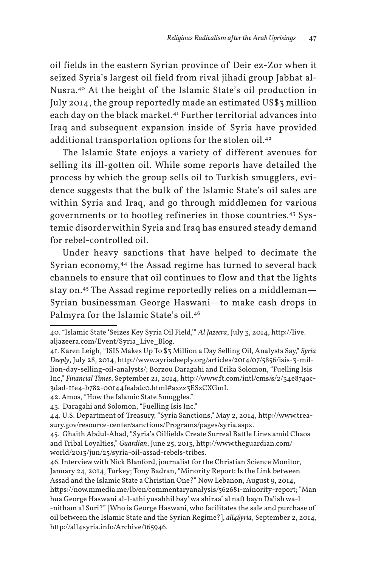oil fields in the eastern Syrian province of Deir ez-Zor when it seized Syria's largest oil field from rival jihadi group Jabhat al-Nusra.40 At the height of the Islamic State's oil production in July 2014, the group reportedly made an estimated US\$3 million each day on the black market.<sup>41</sup> Further territorial advances into Iraq and subsequent expansion inside of Syria have provided additional transportation options for the stolen oil.<sup>42</sup>

The Islamic State enjoys a variety of different avenues for selling its ill-gotten oil. While some reports have detailed the process by which the group sells oil to Turkish smugglers, evidence suggests that the bulk of the Islamic State's oil sales are within Syria and Iraq, and go through middlemen for various governments or to bootleg refineries in those countries.43 Systemic disorder within Syria and Iraq has ensured steady demand for rebel-controlled oil.

Under heavy sanctions that have helped to decimate the Syrian economy,44 the Assad regime has turned to several back channels to ensure that oil continues to flow and that the lights stay on.45 The Assad regime reportedly relies on a middleman— Syrian businessman George Haswani—to make cash drops in Palmyra for the Islamic State's oil.46

<sup>40. &</sup>quot;Islamic State 'Seizes Key Syria Oil Field,'" *Al Jazeera*, July 3, 2014, http://live. aljazeera.com/Event/Syria\_Live\_Blog.

<sup>41.</sup> Karen Leigh, "ISIS Makes Up To \$3 Million a Day Selling Oil, Analysts Say," *Syria Deeply*, July 28, 2014, http://www.syriadeeply.org/articles/2014/07/5856/isis-3-million-day-selling-oil-analysts/; Borzou Daragahi and Erika Solomon, "Fuelling Isis Inc," *Financial Times*, September 21, 2014, http://www.ft.com/intl/cms/s/2/34e874ac-3dad-11e4-b782-00144feabdc0.html#axzz3ESzCXGmI.

<sup>42.</sup> Amos, "How the Islamic State Smuggles."

<sup>43.</sup> Daragahi and Solomon, "Fuelling Isis Inc."

<sup>44.</sup> U.S. Department of Treasury, "Syria Sanctions," May 2, 2014, http://www.treasury.gov/resource-center/sanctions/Programs/pages/syria.aspx.

<sup>45.</sup> Ghaith Abdul-Ahad, "Syria's Oilfields Create Surreal Battle Lines amid Chaos and Tribal Loyalties," *Guardian*, June 25, 2013, http://www.theguardian.com/ world/2013/jun/25/syria-oil-assad-rebels-tribes.

<sup>46.</sup> Interview with Nick Blanford, journalist for the Christian Science Monitor, January 24, 2014, Turkey; Tony Badran, "Minority Report: Is the Link between Assad and the Islamic State a Christian One?" Now Lebanon, August 9, 2014, https://now.mmedia.me/lb/en/commentaryanalysis/562681-minority-report; "Man hua George Haswani al-l-athi yusahhil bay' wa shiraa' al naft bayn Da'ish wa-l -nitham al Suri?" [Who is George Haswani, who facilitates the sale and purchase of oil between the Islamic State and the Syrian Regime?], *all4Syria*, September 2, 2014, http://all4syria.info/Archive/165946.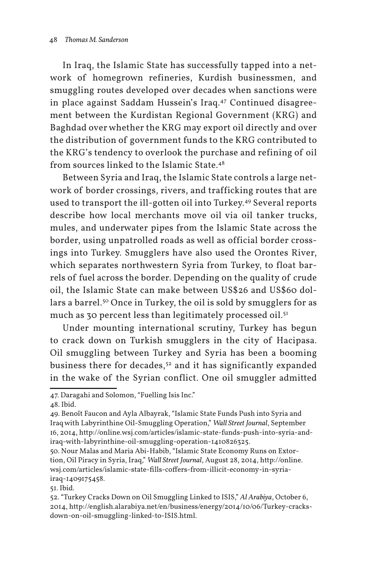In Iraq, the Islamic State has successfully tapped into a network of homegrown refineries, Kurdish businessmen, and smuggling routes developed over decades when sanctions were in place against Saddam Hussein's Iraq.47 Continued disagreement between the Kurdistan Regional Government (KRG) and Baghdad over whether the KRG may export oil directly and over the distribution of government funds to the KRG contributed to the KRG's tendency to overlook the purchase and refining of oil from sources linked to the Islamic State.48

Between Syria and Iraq, the Islamic State controls a large network of border crossings, rivers, and trafficking routes that are used to transport the ill-gotten oil into Turkey.49 Several reports describe how local merchants move oil via oil tanker trucks, mules, and underwater pipes from the Islamic State across the border, using unpatrolled roads as well as official border crossings into Turkey. Smugglers have also used the Orontes River, which separates northwestern Syria from Turkey, to float barrels of fuel across the border. Depending on the quality of crude oil, the Islamic State can make between US\$26 and US\$60 dollars a barrel.<sup>50</sup> Once in Turkey, the oil is sold by smugglers for as much as 30 percent less than legitimately processed oil.<sup>51</sup>

Under mounting international scrutiny, Turkey has begun to crack down on Turkish smugglers in the city of Hacipasa. Oil smuggling between Turkey and Syria has been a booming business there for decades,<sup>52</sup> and it has significantly expanded in the wake of the Syrian conflict. One oil smuggler admitted

51. Ibid.

<sup>47.</sup> Daragahi and Solomon, "Fuelling Isis Inc."

<sup>48.</sup> Ibid.

<sup>49.</sup> Benoît Faucon and Ayla Albayrak, "Islamic State Funds Push into Syria and Iraq with Labyrinthine Oil-Smuggling Operation," *Wall Street Journal*, September 16, 2014, http://online.wsj.com/articles/islamic-state-funds-push-into-syria-andiraq-with-labyrinthine-oil-smuggling-operation-1410826325.

<sup>50.</sup> Nour Malas and Maria Abi-Habib, "Islamic State Economy Runs on Extortion, Oil Piracy in Syria, Iraq," *Wall Street Journal*, August 28, 2014, http://online. wsj.com/articles/islamic-state-fills-coffers-from-illicit-economy-in-syriairaq-1409175458.

<sup>52. &</sup>quot;Turkey Cracks Down on Oil Smuggling Linked to ISIS," *Al Arabiya*, October 6, 2014, http://english.alarabiya.net/en/business/energy/2014/10/06/Turkey-cracksdown-on-oil-smuggling-linked-to-ISIS.html.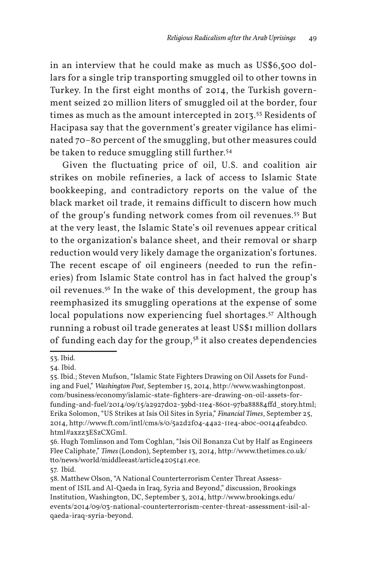in an interview that he could make as much as US\$6,500 dollars for a single trip transporting smuggled oil to other towns in Turkey. In the first eight months of 2014, the Turkish government seized 20 million liters of smuggled oil at the border, four times as much as the amount intercepted in 2013.<sup>53</sup> Residents of Hacipasa say that the government's greater vigilance has eliminated 70–80 percent of the smuggling, but other measures could be taken to reduce smuggling still further.<sup>54</sup>

Given the fluctuating price of oil, U.S. and coalition air strikes on mobile refineries, a lack of access to Islamic State bookkeeping, and contradictory reports on the value of the black market oil trade, it remains difficult to discern how much of the group's funding network comes from oil revenues.<sup>55</sup> But at the very least, the Islamic State's oil revenues appear critical to the organization's balance sheet, and their removal or sharp reduction would very likely damage the organization's fortunes. The recent escape of oil engineers (needed to run the refineries) from Islamic State control has in fact halved the group's oil revenues.56 In the wake of this development, the group has reemphasized its smuggling operations at the expense of some local populations now experiencing fuel shortages.<sup>57</sup> Although running a robust oil trade generates at least US\$1 million dollars of funding each day for the group,<sup>58</sup> it also creates dependencies

<sup>53.</sup> Ibid.

<sup>54.</sup> Ibid.

<sup>55.</sup> Ibid.; Steven Mufson, "Islamic State Fighters Drawing on Oil Assets for Funding and Fuel," *Washington Post*, September 15, 2014, http://www.washingtonpost. com/business/economy/islamic-state-fighters-are-drawing-on-oil-assets-forfunding-and-fuel/2014/09/15/a2927d02-39bd-11e4-8601-97ba88884ffd\_story.html; Erika Solomon, "US Strikes at Isis Oil Sites in Syria," *Financial Times*, September 25, 2014, http://www.ft.com/intl/cms/s/0/5a2d2f04-44a2-11e4-ab0c-00144feabdc0. html#axzz3ESzCXGmI.

<sup>56.</sup> Hugh Tomlinson and Tom Coghlan, "Isis Oil Bonanza Cut by Half as Engineers Flee Caliphate," *Times* (London), September 13, 2014, http://www.thetimes.co.uk/ tto/news/world/middleeast/article4205141.ece.

<sup>57.</sup> Ibid.

<sup>58.</sup> Matthew Olson, "A National Counterterrorism Center Threat Assessment of ISIL and Al-Qaeda in Iraq, Syria and Beyond," discussion, Brookings Institution, Washington, DC, September 3, 2014, http://www.brookings.edu/ events/2014/09/03-national-counterterrorism-center-threat-assessment-isil-alqaeda-iraq-syria-beyond.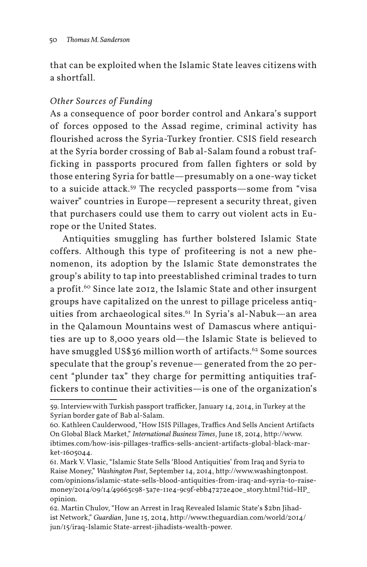that can be exploited when the Islamic State leaves citizens with a shortfall.

# *Other Sources of Funding*

As a consequence of poor border control and Ankara's support of forces opposed to the Assad regime, criminal activity has flourished across the Syria-Turkey frontier. CSIS field research at the Syria border crossing of Bab al-Salam found a robust trafficking in passports procured from fallen fighters or sold by those entering Syria for battle—presumably on a one-way ticket to a suicide attack.59 The recycled passports—some from "visa waiver" countries in Europe—represent a security threat, given that purchasers could use them to carry out violent acts in Europe or the United States.

Antiquities smuggling has further bolstered Islamic State coffers. Although this type of profiteering is not a new phenomenon, its adoption by the Islamic State demonstrates the group's ability to tap into preestablished criminal trades to turn a profit.<sup>60</sup> Since late 2012, the Islamic State and other insurgent groups have capitalized on the unrest to pillage priceless antiquities from archaeological sites.<sup>61</sup> In Syria's al-Nabuk—an area in the Qalamoun Mountains west of Damascus where antiquities are up to 8,000 years old—the Islamic State is believed to have smuggled US\$36 million worth of artifacts.<sup>62</sup> Some sources speculate that the group's revenue— generated from the 20 percent "plunder tax" they charge for permitting antiquities traffickers to continue their activities—is one of the organization's

<sup>59.</sup> Interview with Turkish passport trafficker, January 14, 2014, in Turkey at the Syrian border gate of Bab al-Salam.

<sup>60.</sup> Kathleen Caulderwood, "How ISIS Pillages, Traffics And Sells Ancient Artifacts On Global Black Market," *International Business Times*, June 18, 2014, http://www. ibtimes.com/how-isis-pillages-traffics-sells-ancient-artifacts-global-black-market-1605044.

<sup>61.</sup> Mark V. Vlasic, "Islamic State Sells 'Blood Antiquities' from Iraq and Syria to Raise Money," *Washington Post*, September 14, 2014, http://www.washingtonpost. com/opinions/islamic-state-sells-blood-antiquities-from-iraq-and-syria-to-raisemoney/2014/09/14/49663c98-3a7e-11e4-9c9f-ebb47272e40e\_story.html?tid=HP\_ opinion.

<sup>62.</sup> Martin Chulov, "How an Arrest in Iraq Revealed Islamic State's \$2bn Jihadist Network," *Guardian*, June 15, 2014, http://www.theguardian.com/world/2014/ jun/15/iraq-Islamic State-arrest-jihadists-wealth-power.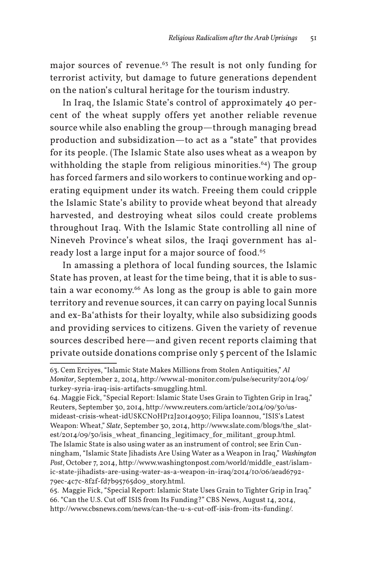major sources of revenue.63 The result is not only funding for terrorist activity, but damage to future generations dependent on the nation's cultural heritage for the tourism industry.

In Iraq, the Islamic State's control of approximately 40 percent of the wheat supply offers yet another reliable revenue source while also enabling the group—through managing bread production and subsidization—to act as a "state" that provides for its people. (The Islamic State also uses wheat as a weapon by withholding the staple from religious minorities.<sup>64</sup>) The group has forced farmers and silo workers to continue working and operating equipment under its watch. Freeing them could cripple the Islamic State's ability to provide wheat beyond that already harvested, and destroying wheat silos could create problems throughout Iraq. With the Islamic State controlling all nine of Nineveh Province's wheat silos, the Iraqi government has already lost a large input for a major source of food.<sup>65</sup>

In amassing a plethora of local funding sources, the Islamic State has proven, at least for the time being, that it is able to sustain a war economy.<sup>66</sup> As long as the group is able to gain more territory and revenue sources, it can carry on paying local Sunnis and ex-Ba'athists for their loyalty, while also subsidizing goods and providing services to citizens. Given the variety of revenue sources described here—and given recent reports claiming that private outside donations comprise only 5 percent of the Islamic

<sup>63.</sup> Cem Erciyes, "Islamic State Makes Millions from Stolen Antiquities," *Al Monitor*, September 2, 2014, http://www.al-monitor.com/pulse/security/2014/09/ turkey-syria-iraq-isis-artifacts-smuggling.html.

<sup>64.</sup> Maggie Fick, "Special Report: Islamic State Uses Grain to Tighten Grip in Iraq," Reuters, September 30, 2014, http://www.reuters.com/article/2014/09/30/usmideast-crisis-wheat-idUSKCN0HP12J20140930; Filipa Ioannou, "ISIS's Latest Weapon: Wheat," *Slate*, September 30, 2014, http://www.slate.com/blogs/the\_slatest/2014/09/30/isis\_wheat\_financing\_legitimacy\_for\_militant\_group.html. The Islamic State is also using water as an instrument of control; see Erin Cunningham, "Islamic State Jihadists Are Using Water as a Weapon in Iraq," *Washington Post*, October 7, 2014, http://www.washingtonpost.com/world/middle\_east/islamic-state-jihadists-are-using-water-as-a-weapon-in-iraq/2014/10/06/aead6792- 79ec-4c7c-8f2f-fd7b95765d09\_story.html.

<sup>65.</sup> Maggie Fick, "Special Report: Islamic State Uses Grain to Tighter Grip in Iraq." 66. "Can the U.S. Cut off ISIS from Its Funding?" CBS News, August 14, 2014, http://www.cbsnews.com/news/can-the-u-s-cut-off-isis-from-its-funding/.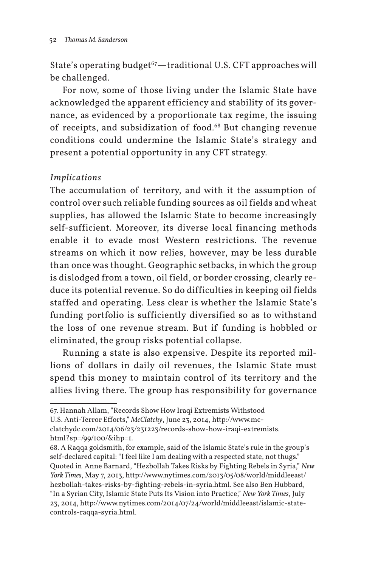State's operating budget<sup>67</sup>—traditional U.S. CFT approaches will be challenged.

For now, some of those living under the Islamic State have acknowledged the apparent efficiency and stability of its governance, as evidenced by a proportionate tax regime, the issuing of receipts, and subsidization of food.<sup>68</sup> But changing revenue conditions could undermine the Islamic State's strategy and present a potential opportunity in any CFT strategy.

## *Implications*

The accumulation of territory, and with it the assumption of control over such reliable funding sources as oil fields and wheat supplies, has allowed the Islamic State to become increasingly self-sufficient. Moreover, its diverse local financing methods enable it to evade most Western restrictions. The revenue streams on which it now relies, however, may be less durable than once was thought. Geographic setbacks, in which the group is dislodged from a town, oil field, or border crossing, clearly reduce its potential revenue. So do difficulties in keeping oil fields staffed and operating. Less clear is whether the Islamic State's funding portfolio is sufficiently diversified so as to withstand the loss of one revenue stream. But if funding is hobbled or eliminated, the group risks potential collapse.

Running a state is also expensive. Despite its reported millions of dollars in daily oil revenues, the Islamic State must spend this money to maintain control of its territory and the allies living there. The group has responsibility for governance

U.S. Anti-Terror Efforts," *McClatchy*, June 23, 2014, http://www.mc-

<sup>67.</sup> Hannah Allam, "Records Show How Iraqi Extremists Withstood

clatchydc.com/2014/06/23/231223/records-show-how-iraqi-extremists. html?sp=/99/100/&ihp=1.

<sup>68.</sup> A Raqqa goldsmith, for example, said of the Islamic State's rule in the group's self-declared capital: "I feel like I am dealing with a respected state, not thugs." Quoted in Anne Barnard, "Hezbollah Takes Risks by Fighting Rebels in Syria," *New York Times*, May 7, 2013, http://www.nytimes.com/2013/05/08/world/middleeast/ hezbollah-takes-risks-by-fighting-rebels-in-syria.html. See also Ben Hubbard, "In a Syrian City, Islamic State Puts Its Vision into Practice," *New York Times*, July 23, 2014, http://www.nytimes.com/2014/07/24/world/middleeast/islamic-statecontrols-raqqa-syria.html.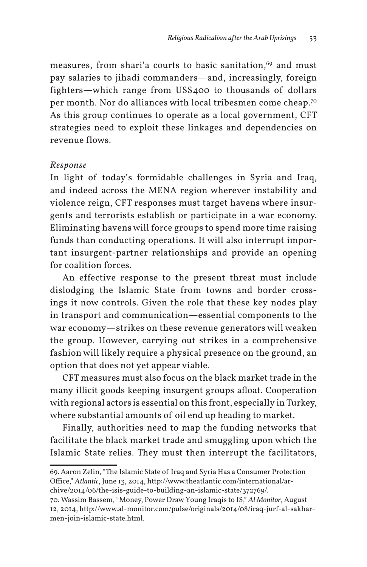measures, from shari'a courts to basic sanitation,<sup>69</sup> and must pay salaries to jihadi commanders—and, increasingly, foreign fighters—which range from US\$400 to thousands of dollars per month. Nor do alliances with local tribesmen come cheap.70 As this group continues to operate as a local government, CFT strategies need to exploit these linkages and dependencies on revenue flows.

#### *Response*

In light of today's formidable challenges in Syria and Iraq, and indeed across the MENA region wherever instability and violence reign, CFT responses must target havens where insurgents and terrorists establish or participate in a war economy. Eliminating havens will force groups to spend more time raising funds than conducting operations. It will also interrupt important insurgent-partner relationships and provide an opening for coalition forces.

An effective response to the present threat must include dislodging the Islamic State from towns and border crossings it now controls. Given the role that these key nodes play in transport and communication—essential components to the war economy—strikes on these revenue generators will weaken the group. However, carrying out strikes in a comprehensive fashion will likely require a physical presence on the ground, an option that does not yet appear viable.

CFT measures must also focus on the black market trade in the many illicit goods keeping insurgent groups afloat. Cooperation with regional actors is essential on this front, especially in Turkey, where substantial amounts of oil end up heading to market.

Finally, authorities need to map the funding networks that facilitate the black market trade and smuggling upon which the Islamic State relies. They must then interrupt the facilitators,

<sup>69.</sup> Aaron Zelin, "The Islamic State of Iraq and Syria Has a Consumer Protection Office," *Atlantic*, June 13, 2014, http://www.theatlantic.com/international/archive/2014/06/the-isis-guide-to-building-an-islamic-state/372769/.

<sup>70.</sup> Wassim Bassem, "Money, Power Draw Young Iraqis to IS," *Al Monitor*, August 12, 2014, http://www.al-monitor.com/pulse/originals/2014/08/iraq-jurf-al-sakharmen-join-islamic-state.html.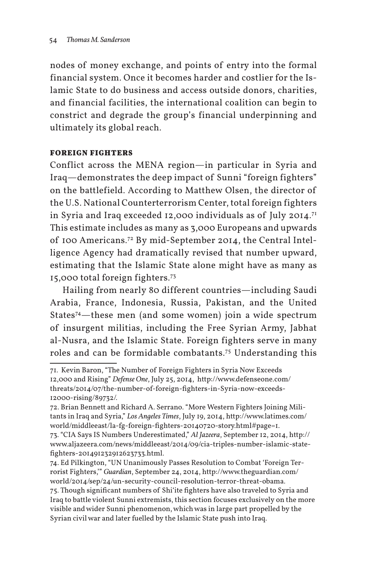nodes of money exchange, and points of entry into the formal financial system. Once it becomes harder and costlier for the Islamic State to do business and access outside donors, charities, and financial facilities, the international coalition can begin to constrict and degrade the group's financial underpinning and ultimately its global reach.

## **FOREIGN FIGHTERS**

Conflict across the MENA region—in particular in Syria and Iraq—demonstrates the deep impact of Sunni "foreign fighters" on the battlefield. According to Matthew Olsen, the director of the U.S. National Counterterrorism Center, total foreign fighters in Syria and Iraq exceeded 12,000 individuals as of July 2014.71 This estimate includes as many as 3,000 Europeans and upwards of 100 Americans.72 By mid-September 2014, the Central Intelligence Agency had dramatically revised that number upward, estimating that the Islamic State alone might have as many as 15,000 total foreign fighters.<sup>73</sup>

Hailing from nearly 80 different countries—including Saudi Arabia, France, Indonesia, Russia, Pakistan, and the United States74—these men (and some women) join a wide spectrum of insurgent militias, including the Free Syrian Army, Jabhat al-Nusra, and the Islamic State. Foreign fighters serve in many roles and can be formidable combatants.75 Understanding this

<sup>71.</sup> Kevin Baron, "The Number of Foreign Fighters in Syria Now Exceeds 12,000 and Rising" *Defense One*, July 25, 2014, http://www.defenseone.com/ threats/2014/07/the-number-of-foreign-fighters-in-Syria-now-exceeds-12000-rising/89732/.

<sup>72.</sup> Brian Bennett and Richard A. Serrano. "More Western Fighters Joining Militants in Iraq and Syria," *Los Angeles Times*, July 19, 2014, http://www.latimes.com/ world/middleeast/la-fg-foreign-fighters-20140720-story.html#page=1.

<sup>73. &</sup>quot;CIA Says IS Numbers Underestimated," *Al Jazeera*, September 12, 2014, http:// www.aljazeera.com/news/middleeast/2014/09/cia-triples-number-islamic-statefighters-201491232912623733.html.

<sup>74.</sup> Ed Pilkington, "UN Unanimously Passes Resolution to Combat 'Foreign Terrorist Fighters,'" *Guardian*, September 24, 2014, http://www.theguardian.com/ world/2014/sep/24/un-security-council-resolution-terror-threat-obama. 75. Though significant numbers of Shi'ite fighters have also traveled to Syria and Iraq to battle violent Sunni extremists, this section focuses exclusively on the more visible and wider Sunni phenomenon, which was in large part propelled by the Syrian civil war and later fuelled by the Islamic State push into Iraq.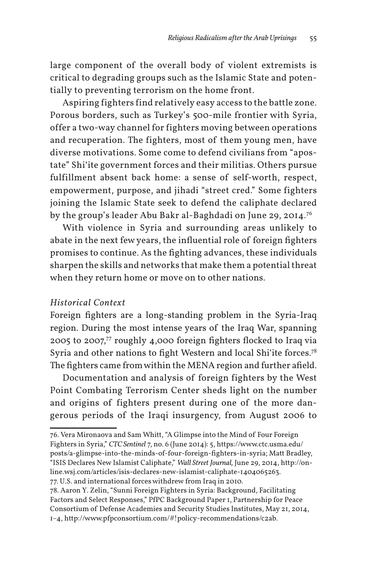large component of the overall body of violent extremists is critical to degrading groups such as the Islamic State and potentially to preventing terrorism on the home front.

Aspiring fighters find relatively easy access to the battle zone. Porous borders, such as Turkey's 500-mile frontier with Syria, offer a two-way channel for fighters moving between operations and recuperation. The fighters, most of them young men, have diverse motivations. Some come to defend civilians from "apostate" Shi'ite government forces and their militias. Others pursue fulfillment absent back home: a sense of self-worth, respect, empowerment, purpose, and jihadi "street cred." Some fighters joining the Islamic State seek to defend the caliphate declared by the group's leader Abu Bakr al-Baghdadi on June 29, 2014.76

With violence in Syria and surrounding areas unlikely to abate in the next few years, the influential role of foreign fighters promises to continue. As the fighting advances, these individuals sharpen the skills and networks that make them a potential threat when they return home or move on to other nations.

#### *Historical Context*

Foreign fighters are a long-standing problem in the Syria-Iraq region. During the most intense years of the Iraq War, spanning 2005 to 2007,77 roughly 4,000 foreign fighters flocked to Iraq via Syria and other nations to fight Western and local Shi'ite forces.<sup>78</sup> The fighters came from within the MENA region and further afield.

Documentation and analysis of foreign fighters by the West Point Combating Terrorism Center sheds light on the number and origins of fighters present during one of the more dangerous periods of the Iraqi insurgency, from August 2006 to

76. Vera Mironaova and Sam Whitt, "A Glimpse into the Mind of Four Foreign Fighters in Syria," *CTC Sentinel* 7, no. 6 (June 2014): 5, https://www.ctc.usma.edu/ posts/a-glimpse-into-the-minds-of-four-foreign-fighters-in-syria; Matt Bradley, "ISIS Declares New Islamist Caliphate," *Wall Street Journal,* June 29, 2014, http://online.wsj.com/articles/isis-declares-new-islamist-caliphate-1404065263.

77. U.S. and international forces withdrew from Iraq in 2010.

78. Aaron Y. Zelin, "Sunni Foreign Fighters in Syria: Background, Facilitating Factors and Select Responses," PfPC Background Paper 1, Partnership for Peace Consortium of Defense Academies and Security Studies Institutes, May 21, 2014, 1–4, http://www.pfpconsortium.com/#!policy-recommendations/c2ab.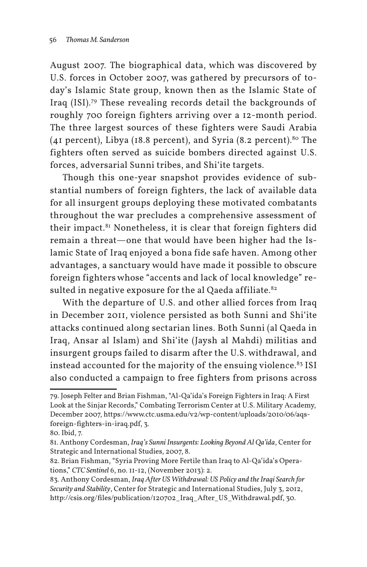August 2007. The biographical data, which was discovered by U.S. forces in October 2007, was gathered by precursors of today's Islamic State group, known then as the Islamic State of Iraq (ISI).79 These revealing records detail the backgrounds of roughly 700 foreign fighters arriving over a 12-month period. The three largest sources of these fighters were Saudi Arabia (41 percent), Libya (18.8 percent), and Syria (8.2 percent).<sup>80</sup> The fighters often served as suicide bombers directed against U.S. forces, adversarial Sunni tribes, and Shi'ite targets.

Though this one-year snapshot provides evidence of substantial numbers of foreign fighters, the lack of available data for all insurgent groups deploying these motivated combatants throughout the war precludes a comprehensive assessment of their impact.81 Nonetheless, it is clear that foreign fighters did remain a threat—one that would have been higher had the Islamic State of Iraq enjoyed a bona fide safe haven. Among other advantages, a sanctuary would have made it possible to obscure foreign fighters whose "accents and lack of local knowledge" resulted in negative exposure for the al Qaeda affiliate.<sup>82</sup>

With the departure of U.S. and other allied forces from Iraq in December 2011, violence persisted as both Sunni and Shi'ite attacks continued along sectarian lines. Both Sunni (al Qaeda in Iraq, Ansar al Islam) and Shi'ite (Jaysh al Mahdi) militias and insurgent groups failed to disarm after the U.S. withdrawal, and instead accounted for the majority of the ensuing violence.<sup>83</sup> ISI also conducted a campaign to free fighters from prisons across

<sup>79.</sup> Joseph Felter and Brian Fishman, "Al-Qa'ida's Foreign Fighters in Iraq: A First Look at the Sinjar Records," Combating Terrorism Center at U.S. Military Academy, December 2007, https://www.ctc.usma.edu/v2/wp-content/uploads/2010/06/aqsforeign-fighters-in-iraq.pdf, 3.

<sup>80.</sup> Ibid, 7.

<sup>81.</sup> Anthony Cordesman, *Iraq's Sunni Insurgents: Looking Beyond Al Qa'ida*, Center for Strategic and International Studies, 2007, 8.

<sup>82.</sup> Brian Fishman, "Syria Proving More Fertile than Iraq to Al-Qa'ida's Operations," *CTC Sentinel* 6, no. 11-12, (November 2013): 2.

<sup>83.</sup> Anthony Cordesman, *Iraq After US Withdrawal: US Policy and the Iraqi Search for Security and Stability*, Center for Strategic and International Studies, July 3, 2012, http://csis.org/files/publication/120702\_Iraq\_After\_US\_Withdrawal.pdf, 30.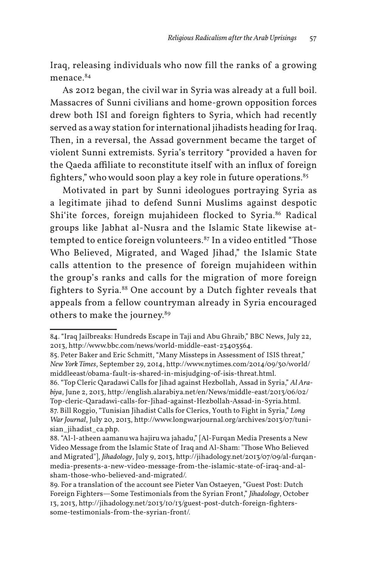Iraq, releasing individuals who now fill the ranks of a growing menace.<sup>84</sup>

As 2012 began, the civil war in Syria was already at a full boil. Massacres of Sunni civilians and home-grown opposition forces drew both ISI and foreign fighters to Syria, which had recently served as a way station for international jihadists heading for Iraq. Then, in a reversal, the Assad government became the target of violent Sunni extremists. Syria's territory "provided a haven for the Qaeda affiliate to reconstitute itself with an influx of foreign fighters," who would soon play a key role in future operations.<sup>85</sup>

Motivated in part by Sunni ideologues portraying Syria as a legitimate jihad to defend Sunni Muslims against despotic Shi'ite forces, foreign mujahideen flocked to Syria.<sup>86</sup> Radical groups like Jabhat al-Nusra and the Islamic State likewise attempted to entice foreign volunteers.<sup>87</sup> In a video entitled "Those Who Believed, Migrated, and Waged Jihad," the Islamic State calls attention to the presence of foreign mujahideen within the group's ranks and calls for the migration of more foreign fighters to Syria.<sup>88</sup> One account by a Dutch fighter reveals that appeals from a fellow countryman already in Syria encouraged others to make the journey.<sup>89</sup>

<sup>84. &</sup>quot;Iraq Jailbreaks: Hundreds Escape in Taji and Abu Ghraib," BBC News, July 22, 2013, http://www.bbc.com/news/world-middle-east-23403564.

<sup>85.</sup> Peter Baker and Eric Schmitt, "Many Missteps in Assessment of ISIS threat," *New York Times*, September 29, 2014, http://www.nytimes.com/2014/09/30/world/ middleeast/obama-fault-is-shared-in-misjudging-of-isis-threat.html.

<sup>86. &</sup>quot;Top Cleric Qaradawi Calls for Jihad against Hezbollah, Assad in Syria," *Al Arabiya*, June 2, 2013, http://english.alarabiya.net/en/News/middle-east/2013/06/02/ Top-cleric-Qaradawi-calls-for-Jihad-against-Hezbollah-Assad-in-Syria.html. 87. Bill Roggio, "Tunisian Jihadist Calls for Clerics, Youth to Fight in Syria," *Long War Journal*, July 20, 2013, http://www.longwarjournal.org/archives/2013/07/tunisian jihadist ca.php.

<sup>88. &</sup>quot;Al-l-atheen aamanu wa hajiru wa jahadu," [Al-Furqan Media Presents a New Video Message from the Islamic State of Iraq and Al-Sham: "Those Who Believed and Migrated"], *Jihadology*, July 9, 2013, http://jihadology.net/2013/07/09/al-furqanmedia-presents-a-new-video-message-from-the-islamic-state-of-iraq-and-alsham-those-who-believed-and-migrated/.

<sup>89.</sup> For a translation of the account see Pieter Van Ostaeyen, "Guest Post: Dutch Foreign Fighters—Some Testimonials from the Syrian Front," *Jihadology*, October 13, 2013, http://jihadology.net/2013/10/13/guest-post-dutch-foreign-fighterssome-testimonials-from-the-syrian-front/.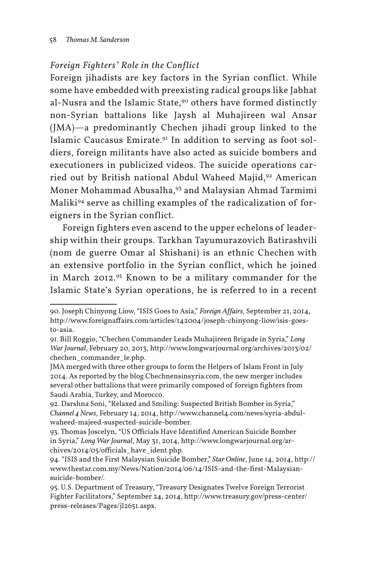#### *Foreign Fighters' Role in the Conflict*

Foreign jihadists are key factors in the Syrian conflict. While some have embedded with preexisting radical groups like Jabhat al-Nusra and the Islamic State,<sup>90</sup> others have formed distinctly non-Syrian battalions like Jaysh al Muhajireen wal Ansar (JMA)—a predominantly Chechen jihadi group linked to the Islamic Caucasus Emirate.91 In addition to serving as foot soldiers, foreign militants have also acted as suicide bombers and executioners in publicized videos. The suicide operations carried out by British national Abdul Waheed Majid,<sup>92</sup> American Moner Mohammad Abusalha,93 and Malaysian Ahmad Tarmimi Maliki94 serve as chilling examples of the radicalization of foreigners in the Syrian conflict.

Foreign fighters even ascend to the upper echelons of leadership within their groups. Tarkhan Tayumurazovich Batirashvili (nom de guerre Omar al Shishani) is an ethnic Chechen with an extensive portfolio in the Syrian conflict, which he joined in March 2012.95 Known to be a military commander for the Islamic State's Syrian operations, he is referred to in a recent

<sup>90.</sup> Joseph Chinyong Liow, "ISIS Goes to Asia," *Foreign Affairs*, September 21, 2014, http://www.foreignaffairs.com/articles/142004/joseph-chinyong-liow/isis-goesto-asia.

<sup>91.</sup> Bill Roggio, "Chechen Commander Leads Muhajireen Brigade in Syria," *Long War Journal*, February 20, 2013, http://www.longwarjournal.org/archives/2013/02/ chechen\_commander\_le.php.

JMA merged with three other groups to form the Helpers of Islam Front in July 2014. As reported by the blog Chechnensinsyria.com, the new merger includes several other battalions that were primarily composed of foreign fighters from Saudi Arabia, Turkey, and Morocco.

<sup>92.</sup> Darshna Soni, "Relaxed and Smiling: Suspected British Bomber in Syria," *Channel 4 News*, February 14, 2014, http://www.channel4.com/news/syria-abdulwaheed-majeed-suspected-suicide-bomber.

<sup>93.</sup> Thomas Joscelyn, "US Officials Have Identified American Suicide Bomber in Syria," *Long War Journal*, May 31, 2014, http://www.longwarjournal.org/archives/2014/05/officials\_have\_ident.php.

<sup>94. &</sup>quot;ISIS and the First Malaysian Suicide Bomber," *Star Online*, June 14, 2014, http:// www.thestar.com.my/News/Nation/2014/06/14/ISIS-and-the-first-Malaysiansuicide-bomber/.

<sup>95.</sup> U.S. Department of Treasury, "Treasury Designates Twelve Foreign Terrorist Fighter Facilitators," September 24, 2014, http://www.treasury.gov/press-center/ press-releases/Pages/jl2651.aspx.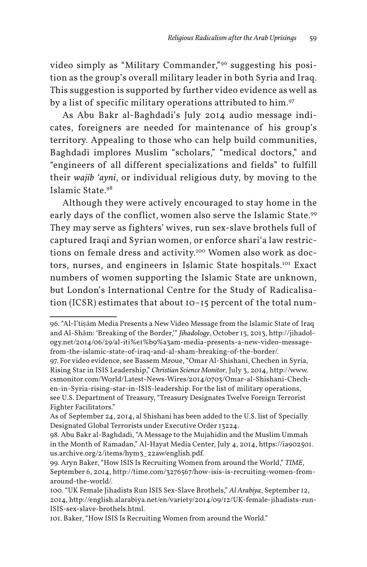video simply as "Military Commander,"96 suggesting his position as the group's overall military leader in both Syria and Iraq. This suggestion is supported by further video evidence as well as by a list of specific military operations attributed to him.<sup>97</sup>

As Abu Bakr al-Baghdadi's July 2014 audio message indicates, foreigners are needed for maintenance of his group's territory. Appealing to those who can help build communities, Baghdadi implores Muslim "scholars," "medical doctors," and "engineers of all different specializations and fields" to fulfill their *wajib 'ayni*, or individual religious duty, by moving to the Islamic State.98

Although they were actively encouraged to stay home in the early days of the conflict, women also serve the Islamic State.<sup>99</sup> They may serve as fighters' wives, run sex-slave brothels full of captured Iraqi and Syrian women, or enforce shari'a law restrictions on female dress and activity.<sup>100</sup> Women also work as doctors, nurses, and engineers in Islamic State hospitals.101 Exact numbers of women supporting the Islamic State are unknown, but London's International Centre for the Study of Radicalisation (ICSR) estimates that about 10–15 percent of the total num-

<sup>96. &</sup>quot;Al-I'tiṣām Media Presents a New Video Message from the Islamic State of Iraq and Al-Shām: 'Breaking of the Border,'" *Jihadology*, October 13, 2013, http://jihadology.net/2014/06/29/al-iti%e1%b9%a3am-media-presents-a-new-video-messagefrom-the-islamic-state-of-iraq-and-al-sham-breaking-of-the-border/.

<sup>97.</sup> For video evidence, see Bassem Mroue, "Omar Al-Shishani, Chechen in Syria, Rising Star in ISIS Leadership," *Christian Science Monitor*, July 3, 2014, http://www. csmonitor.com/World/Latest-News-Wires/2014/0703/Omar-al-Shishani-Chechen-in-Syria-rising-star-in-ISIS-leadership. For the list of military operations, see U.S. Department of Treasury, "Treasury Designates Twelve Foreign Terrorist Fighter Facilitators."

As of September 24, 2014, al Shishani has been added to the U.S. list of Specially Designated Global Terrorists under Executive Order 13224.

<sup>98.</sup> Abu Bakr al-Baghdadi, "A Message to the Mujahidin and the Muslim Ummah in the Month of Ramadan," Al-Hayat Media Center, July 4, 2014, https://ia902501. us.archive.org/2/items/hym3\_22aw/english.pdf.

<sup>99.</sup> Aryn Baker, "How ISIS Is Recruiting Women from around the World," *TIME*, September 6, 2014, http://time.com/3276567/how-isis-is-recruiting-women-fromaround-the-world/.

<sup>100. &</sup>quot;UK Female Jihadists Run ISIS Sex-Slave Brothels," *Al Arabiya*, September 12, 2014, http://english.alarabiya.net/en/variety/2014/09/12/UK-female-jihadists-run-ISIS-sex-slave-brothels.html.

<sup>101.</sup> Baker, "How ISIS Is Recruiting Women from around the World."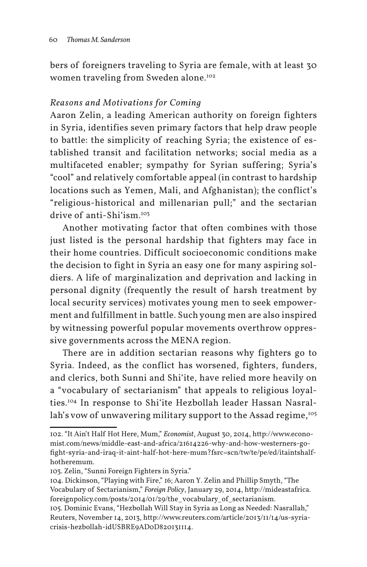bers of foreigners traveling to Syria are female, with at least 30 women traveling from Sweden alone.<sup>102</sup>

## *Reasons and Motivations for Coming*

Aaron Zelin, a leading American authority on foreign fighters in Syria, identifies seven primary factors that help draw people to battle: the simplicity of reaching Syria; the existence of established transit and facilitation networks; social media as a multifaceted enabler; sympathy for Syrian suffering; Syria's "cool" and relatively comfortable appeal (in contrast to hardship locations such as Yemen, Mali, and Afghanistan); the conflict's "religious-historical and millenarian pull;" and the sectarian drive of anti-Shi'ism.<sup>103</sup>

Another motivating factor that often combines with those just listed is the personal hardship that fighters may face in their home countries. Difficult socioeconomic conditions make the decision to fight in Syria an easy one for many aspiring soldiers. A life of marginalization and deprivation and lacking in personal dignity (frequently the result of harsh treatment by local security services) motivates young men to seek empowerment and fulfillment in battle. Such young men are also inspired by witnessing powerful popular movements overthrow oppressive governments across the MENA region.

There are in addition sectarian reasons why fighters go to Syria. Indeed, as the conflict has worsened, fighters, funders, and clerics, both Sunni and Shi'ite, have relied more heavily on a "vocabulary of sectarianism" that appeals to religious loyalties.104 In response to Shi'ite Hezbollah leader Hassan Nasrallah's vow of unwavering military support to the Assad regime,<sup>105</sup>

<sup>102. &</sup>quot;It Ain't Half Hot Here, Mum," *Economist*, August 30, 2014, http://www.economist.com/news/middle-east-and-africa/21614226-why-and-how-westerners-gofight-syria-and-iraq-it-aint-half-hot-here-mum?fsrc=scn/tw/te/pe/ed/itaintshalfhotheremum.

<sup>103.</sup> Zelin, "Sunni Foreign Fighters in Syria."

<sup>104.</sup> Dickinson,"Playing with Fire," 16; Aaron Y. Zelin and Phillip Smyth, "The Vocabulary of Sectarianism," *Foreign Policy*, January 29, 2014, http://mideastafrica. foreignpolicy.com/posts/2014/01/29/the\_vocabulary\_of\_sectarianism.

<sup>105.</sup> Dominic Evans, "Hezbollah Will Stay in Syria as Long as Needed: Nasrallah," Reuters, November 14, 2013, http://www.reuters.com/article/2013/11/14/us-syriacrisis-hezbollah-idUSBRE9AD0D820131114.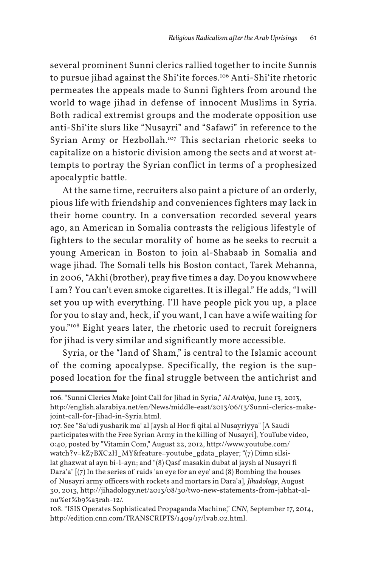several prominent Sunni clerics rallied together to incite Sunnis to pursue jihad against the Shi'ite forces.<sup>106</sup> Anti-Shi'ite rhetoric permeates the appeals made to Sunni fighters from around the world to wage jihad in defense of innocent Muslims in Syria. Both radical extremist groups and the moderate opposition use anti-Shi'ite slurs like "Nusayri" and "Safawi" in reference to the Syrian Army or Hezbollah.<sup>107</sup> This sectarian rhetoric seeks to capitalize on a historic division among the sects and at worst attempts to portray the Syrian conflict in terms of a prophesized apocalyptic battle.

At the same time, recruiters also paint a picture of an orderly, pious life with friendship and conveniences fighters may lack in their home country. In a conversation recorded several years ago, an American in Somalia contrasts the religious lifestyle of fighters to the secular morality of home as he seeks to recruit a young American in Boston to join al-Shabaab in Somalia and wage jihad. The Somali tells his Boston contact, Tarek Mehanna, in 2006, "Akhi (brother), pray five times a day. Do you know where I am? You can't even smoke cigarettes. It is illegal." He adds, "I will set you up with everything. I'll have people pick you up, a place for you to stay and, heck, if you want, I can have a wife waiting for you."108 Eight years later, the rhetoric used to recruit foreigners for jihad is very similar and significantly more accessible.

Syria, or the "land of Sham," is central to the Islamic account of the coming apocalypse. Specifically, the region is the supposed location for the final struggle between the antichrist and

<sup>106. &</sup>quot;Sunni Clerics Make Joint Call for Jihad in Syria," *Al Arabiya*, June 13, 2013, http://english.alarabiya.net/en/News/middle-east/2013/06/13/Sunni-clerics-makejoint-call-for-Jihad-in-Syria.html.

<sup>107.</sup> See "Sa'udi yusharik ma' al Jaysh al Hor fi qital al Nusayriyya" [A Saudi participates with the Free Syrian Army in the killing of Nusayri], YouTube video, 0:40, posted by "Vitamin Com," August 22, 2012, http://www.youtube.com/ watch?v=kZ7BXC2H\_MY&feature=youtube\_gdata\_player; "(7) Dimn silsilat ghazwat al ayn bi-l-ayn; and "(8) Qasf masakin dubat al jaysh al Nusayri fi Dara'a"  $[(7)$  In the series of raids 'an eye for an eye' and  $(8)$  Bombing the houses of Nusayri army officers with rockets and mortars in Dara'a], *Jihadology*, August 30, 2013, http://jihadology.net/2013/08/30/two-new-statements-from-jabhat-alnu%e1%b9%a3rah-12/.

<sup>108. &</sup>quot;ISIS Operates Sophisticated Propaganda Machine," *CNN*, September 17, 2014, http://edition.cnn.com/TRANSCRIPTS/1409/17/lvab.02.html.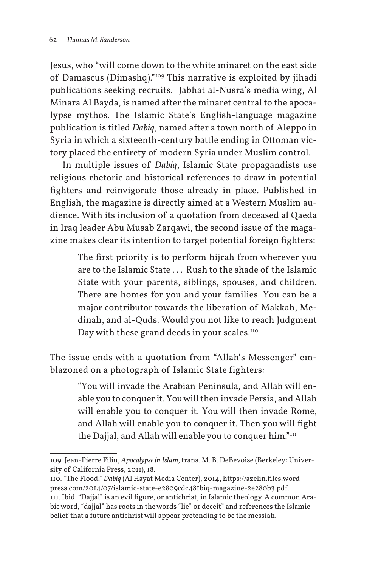Jesus, who "will come down to the white minaret on the east side of Damascus (Dimashq)."109 This narrative is exploited by jihadi publications seeking recruits. Jabhat al-Nusra's media wing, Al Minara Al Bayda, is named after the minaret central to the apocalypse mythos. The Islamic State's English-language magazine publication is titled *Dabiq*, named after a town north of Aleppo in Syria in which a sixteenth-century battle ending in Ottoman victory placed the entirety of modern Syria under Muslim control.

In multiple issues of *Dabiq*, Islamic State propagandists use religious rhetoric and historical references to draw in potential fighters and reinvigorate those already in place. Published in English, the magazine is directly aimed at a Western Muslim audience. With its inclusion of a quotation from deceased al Qaeda in Iraq leader Abu Musab Zarqawi, the second issue of the magazine makes clear its intention to target potential foreign fighters:

> The first priority is to perform hijrah from wherever you are to the Islamic State . . . Rush to the shade of the Islamic State with your parents, siblings, spouses, and children. There are homes for you and your families. You can be a major contributor towards the liberation of Makkah, Medinah, and al-Quds. Would you not like to reach Judgment Day with these grand deeds in your scales.<sup>110</sup>

The issue ends with a quotation from "Allah's Messenger" emblazoned on a photograph of Islamic State fighters:

> "You will invade the Arabian Peninsula, and Allah will enable you to conquer it. You will then invade Persia, and Allah will enable you to conquer it. You will then invade Rome, and Allah will enable you to conquer it. Then you will fight the Dajjal, and Allah will enable you to conquer him."<sup>111</sup>

<sup>109.</sup> Jean-Pierre Filiu, *Apocalypse in Islam,* trans. M. B. DeBevoise (Berkeley: University of California Press, 2011), 18.

<sup>110. &</sup>quot;The Flood," *Dabiq* (Al Hayat Media Center), 2014, https://azelin.files.wordpress.com/2014/07/islamic-state-e2809cdc481biq-magazine-2e280b3.pdf. 111. Ibid. "Dajjal" is an evil figure, or antichrist, in Islamic theology. A common Arabic word, "dajjal" has roots in the words "lie" or deceit" and references the Islamic belief that a future antichrist will appear pretending to be the messiah.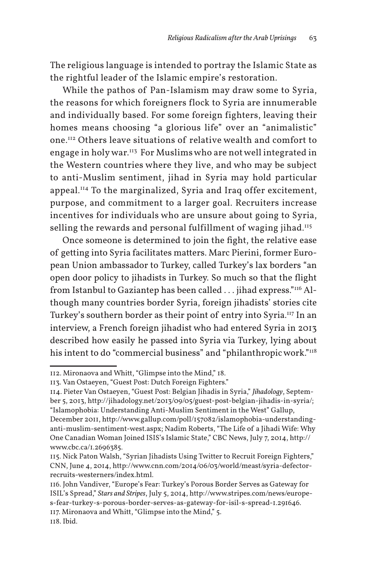The religious language is intended to portray the Islamic State as the rightful leader of the Islamic empire's restoration.

While the pathos of Pan-Islamism may draw some to Syria, the reasons for which foreigners flock to Syria are innumerable and individually based. For some foreign fighters, leaving their homes means choosing "a glorious life" over an "animalistic" one.112 Others leave situations of relative wealth and comfort to engage in holy war.113 For Muslims who are not well integrated in the Western countries where they live, and who may be subject to anti-Muslim sentiment, jihad in Syria may hold particular appeal.<sup>114</sup> To the marginalized, Syria and Iraq offer excitement, purpose, and commitment to a larger goal. Recruiters increase incentives for individuals who are unsure about going to Syria, selling the rewards and personal fulfillment of waging jihad.<sup>115</sup>

Once someone is determined to join the fight, the relative ease of getting into Syria facilitates matters. Marc Pierini, former European Union ambassador to Turkey, called Turkey's lax borders "an open door policy to jihadists in Turkey. So much so that the flight from Istanbul to Gaziantep has been called . . . jihad express."<sup>116</sup> Although many countries border Syria, foreign jihadists' stories cite Turkey's southern border as their point of entry into Syria.117 In an interview, a French foreign jihadist who had entered Syria in 2013 described how easily he passed into Syria via Turkey, lying about his intent to do "commercial business" and "philanthropic work."<sup>118</sup>

<sup>112.</sup> Mironaova and Whitt, "Glimpse into the Mind," 18.

<sup>113.</sup> Van Ostaeyen, "Guest Post: Dutch Foreign Fighters."

<sup>114.</sup> Pieter Van Ostaeyen, "Guest Post: Belgian Jihadis in Syria," *Jihadology*, September 5, 2013, http://jihadology.net/2013/09/05/guest-post-belgian-jihadis-in-syria/; "Islamophobia: Understanding Anti-Muslim Sentiment in the West" Gallup, December 2011, http://www.gallup.com/poll/157082/islamophobia-understandinganti-muslim-sentiment-west.aspx; Nadim Roberts, "The Life of a Jihadi Wife: Why One Canadian Woman Joined ISIS's Islamic State," CBC News, July 7, 2014, http:// www.cbc.ca/1.2696385.

<sup>115.</sup> Nick Paton Walsh, "Syrian Jihadists Using Twitter to Recruit Foreign Fighters," CNN, June 4, 2014, http://www.cnn.com/2014/06/03/world/meast/syria-defectorrecruits-westerners/index.html.

<sup>116.</sup> John Vandiver, "Europe's Fear: Turkey's Porous Border Serves as Gateway for ISIL's Spread," *Stars and Stripes*, July 5, 2014, http://www.stripes.com/news/europes-fear-turkey-s-porous-border-serves-as-gateway-for-isil-s-spread-1.291646. 117. Mironaova and Whitt, "Glimpse into the Mind," 5. 118. Ibid.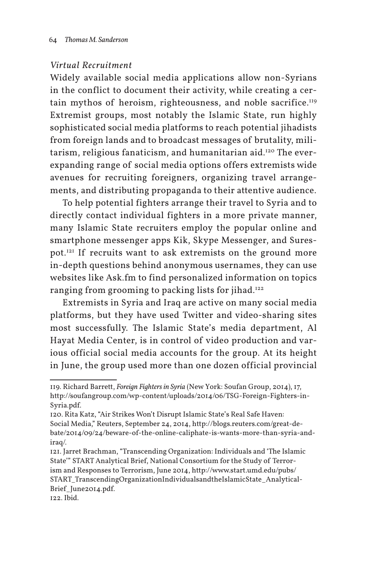## *Virtual Recruitment*

Widely available social media applications allow non-Syrians in the conflict to document their activity, while creating a certain mythos of heroism, righteousness, and noble sacrifice.<sup>119</sup> Extremist groups, most notably the Islamic State, run highly sophisticated social media platforms to reach potential jihadists from foreign lands and to broadcast messages of brutality, militarism, religious fanaticism, and humanitarian aid.<sup>120</sup> The everexpanding range of social media options offers extremists wide avenues for recruiting foreigners, organizing travel arrangements, and distributing propaganda to their attentive audience.

To help potential fighters arrange their travel to Syria and to directly contact individual fighters in a more private manner, many Islamic State recruiters employ the popular online and smartphone messenger apps Kik, Skype Messenger, and Surespot.121 If recruits want to ask extremists on the ground more in-depth questions behind anonymous usernames, they can use websites like Ask.fm to find personalized information on topics ranging from grooming to packing lists for jihad.<sup>122</sup>

Extremists in Syria and Iraq are active on many social media platforms, but they have used Twitter and video-sharing sites most successfully. The Islamic State's media department, Al Hayat Media Center, is in control of video production and various official social media accounts for the group. At its height in June, the group used more than one dozen official provincial

122. Ibid.

<sup>119.</sup> Richard Barrett, *Foreign Fighters in Syria* (New York: Soufan Group, 2014), 17, http://soufangroup.com/wp-content/uploads/2014/06/TSG-Foreign-Fighters-in-Syria.pdf.

<sup>120.</sup> Rita Katz, "Air Strikes Won't Disrupt Islamic State's Real Safe Haven: Social Media," Reuters, September 24, 2014, http://blogs.reuters.com/great-debate/2014/09/24/beware-of-the-online-caliphate-is-wants-more-than-syria-andiraq/.

<sup>121.</sup> Jarret Brachman, "Transcending Organization: Individuals and 'The Islamic State'" START Analytical Brief, National Consortium for the Study of Terrorism and Responses to Terrorism, June 2014, http://www.start.umd.edu/pubs/ START\_TranscendingOrganizationIndividualsandtheIslamicState\_Analytical-Brief\_June2014.pdf.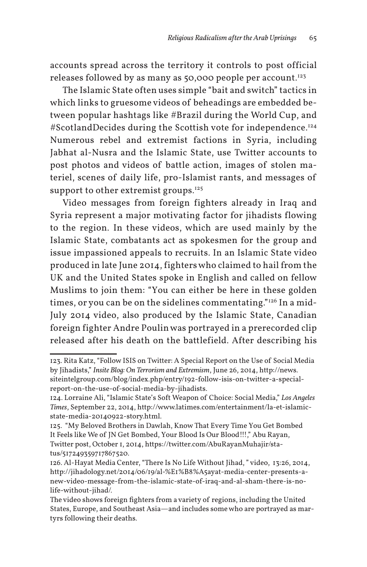accounts spread across the territory it controls to post official releases followed by as many as 50,000 people per account. $123$ 

The Islamic State often uses simple "bait and switch" tactics in which links to gruesome videos of beheadings are embedded between popular hashtags like #Brazil during the World Cup, and #ScotlandDecides during the Scottish vote for independence.<sup>124</sup> Numerous rebel and extremist factions in Syria, including Jabhat al-Nusra and the Islamic State, use Twitter accounts to post photos and videos of battle action, images of stolen materiel, scenes of daily life, pro-Islamist rants, and messages of support to other extremist groups.<sup>125</sup>

Video messages from foreign fighters already in Iraq and Syria represent a major motivating factor for jihadists flowing to the region. In these videos, which are used mainly by the Islamic State, combatants act as spokesmen for the group and issue impassioned appeals to recruits. In an Islamic State video produced in late June 2014, fighters who claimed to hail from the UK and the United States spoke in English and called on fellow Muslims to join them: "You can either be here in these golden times, or you can be on the sidelines commentating."126 In a mid-July 2014 video, also produced by the Islamic State, Canadian foreign fighter Andre Poulin was portrayed in a prerecorded clip released after his death on the battlefield. After describing his

<sup>123.</sup> Rita Katz, "Follow ISIS on Twitter: A Special Report on the Use of Social Media by Jihadists," *Insite Blog: On Terrorism and Extremism*, June 26, 2014, http://news. siteintelgroup.com/blog/index.php/entry/192-follow-isis-on-twitter-a-special-

report-on-the-use-of-social-media-by-jihadists.

<sup>124.</sup> Lorraine Ali, "Islamic State's Soft Weapon of Choice: Social Media," *Los Angeles Times*, September 22, 2014, http://www.latimes.com/entertainment/la-et-islamicstate-media-20140922-story.html.

<sup>125. &</sup>quot;My Beloved Brothers in Dawlah, Know That Every Time You Get Bombed It Feels like We of JN Get Bombed, Your Blood Is Our Blood!!!," Abu Rayan, Twitter post, October 1, 2014, https://twitter.com/AbuRayanMuhajir/status/517249359717867520.

<sup>126.</sup> Al-Hayat Media Center, "There Is No Life Without Jihad, " video, 13:26, 2014, http://jihadology.net/2014/06/19/al-%E1%B8%A5ayat-media-center-presents-anew-video-message-from-the-islamic-state-of-iraq-and-al-sham-there-is-nolife-without-jihad/.

The video shows foreign fighters from a variety of regions, including the United States, Europe, and Southeast Asia—and includes some who are portrayed as martyrs following their deaths.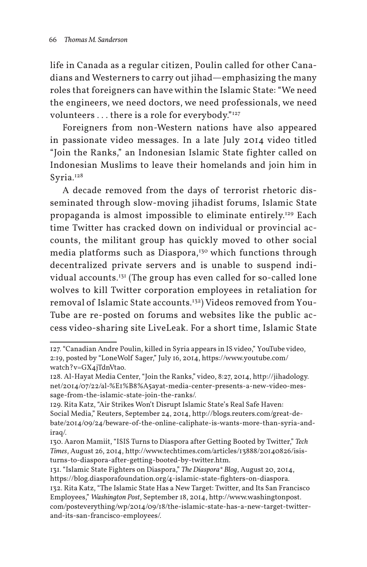life in Canada as a regular citizen, Poulin called for other Canadians and Westerners to carry out jihad—emphasizing the many roles that foreigners can have within the Islamic State: "We need the engineers, we need doctors, we need professionals, we need volunteers . . . there is a role for everybody."<sup>127</sup>

Foreigners from non-Western nations have also appeared in passionate video messages. In a late July 2014 video titled "Join the Ranks," an Indonesian Islamic State fighter called on Indonesian Muslims to leave their homelands and join him in Syria.<sup>128</sup>

A decade removed from the days of terrorist rhetoric disseminated through slow-moving jihadist forums, Islamic State propaganda is almost impossible to eliminate entirely.<sup>129</sup> Each time Twitter has cracked down on individual or provincial accounts, the militant group has quickly moved to other social media platforms such as Diaspora,<sup>130</sup> which functions through decentralized private servers and is unable to suspend individual accounts.131 (The group has even called for so-called lone wolves to kill Twitter corporation employees in retaliation for removal of Islamic State accounts.<sup>132</sup>) Videos removed from You-Tube are re-posted on forums and websites like the public access video-sharing site LiveLeak. For a short time, Islamic State

<sup>127. &</sup>quot;Canadian Andre Poulin, killed in Syria appears in IS video," YouTube video, 2:19, posted by "LoneWolf Sager," July 16, 2014, https://www.youtube.com/ watch?v=GX4jTdnVtao.

<sup>128.</sup> Al-Hayat Media Center, "Join the Ranks," video, 8:27, 2014, http://jihadology. net/2014/07/22/al-%E1%B8%A5ayat-media-center-presents-a-new-video-message-from-the-islamic-state-join-the-ranks/.

<sup>129.</sup> Rita Katz, "Air Strikes Won't Disrupt Islamic State's Real Safe Haven: Social Media," Reuters, September 24, 2014, http://blogs.reuters.com/great-debate/2014/09/24/beware-of-the-online-caliphate-is-wants-more-than-syria-andiraq/.

<sup>130.</sup> Aaron Mamiit, "ISIS Turns to Diaspora after Getting Booted by Twitter," *Tech Times*, August 26, 2014, http://www.techtimes.com/articles/13888/20140826/isisturns-to-diaspora-after-getting-booted-by-twitter.htm.

<sup>131. &</sup>quot;Islamic State Fighters on Diaspora," *The Diaspora\* Blog*, August 20, 2014, https://blog.diasporafoundation.org/4-islamic-state-fighters-on-diaspora.

<sup>132.</sup> Rita Katz, "The Islamic State Has a New Target: Twitter, and Its San Francisco Employees," *Washington Post*, September 18, 2014, http://www.washingtonpost. com/posteverything/wp/2014/09/18/the-islamic-state-has-a-new-target-twitterand-its-san-francisco-employees/.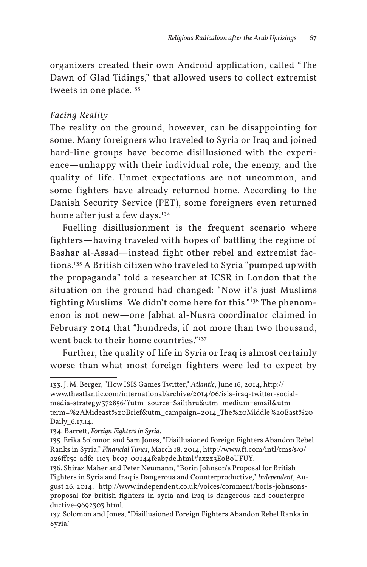organizers created their own Android application, called "The Dawn of Glad Tidings," that allowed users to collect extremist tweets in one place.<sup>133</sup>

## *Facing Reality*

The reality on the ground, however, can be disappointing for some. Many foreigners who traveled to Syria or Iraq and joined hard-line groups have become disillusioned with the experience—unhappy with their individual role, the enemy, and the quality of life. Unmet expectations are not uncommon, and some fighters have already returned home. According to the Danish Security Service (PET), some foreigners even returned home after just a few days.<sup>134</sup>

Fuelling disillusionment is the frequent scenario where fighters—having traveled with hopes of battling the regime of Bashar al-Assad—instead fight other rebel and extremist factions.135 A British citizen who traveled to Syria "pumped up with the propaganda" told a researcher at ICSR in London that the situation on the ground had changed: "Now it's just Muslims fighting Muslims. We didn't come here for this."136 The phenomenon is not new—one Jabhat al-Nusra coordinator claimed in February 2014 that "hundreds, if not more than two thousand, went back to their home countries."<sup>137</sup>

Further, the quality of life in Syria or Iraq is almost certainly worse than what most foreign fighters were led to expect by

<sup>133.</sup> J. M. Berger, "How ISIS Games Twitter," *Atlantic*, June 16, 2014, http:// www.theatlantic.com/international/archive/2014/06/isis-iraq-twitter-socialmedia-strategy/372856/?utm\_source=Sailthru&utm\_medium=email&utm\_ term=%2AMideast%20Brief&utm\_campaign=2014\_The%20Middle%20East%20 Daily\_6.17.14.

<sup>134.</sup> Barrett, *Foreign Fighters in Syria*.

<sup>135.</sup> Erika Solomon and Sam Jones, "Disillusioned Foreign Fighters Abandon Rebel Ranks in Syria," *Financial Times*, March 18, 2014, http://www.ft.com/intl/cms/s/0/ a26ffc5c-adfc-11e3-bc07-00144feab7de.html#axzz3EoBoUFUY.

<sup>136.</sup> Shiraz Maher and Peter Neumann, "Borin Johnson's Proposal for British Fighters in Syria and Iraq is Dangerous and Counterproductive," *Independent*, August 26, 2014, http://www.independent.co.uk/voices/comment/boris-johnsonsproposal-for-british-fighters-in-syria-and-iraq-is-dangerous-and-counterproductive-9692303.html.

<sup>137.</sup> Solomon and Jones, "Disillusioned Foreign Fighters Abandon Rebel Ranks in Syria."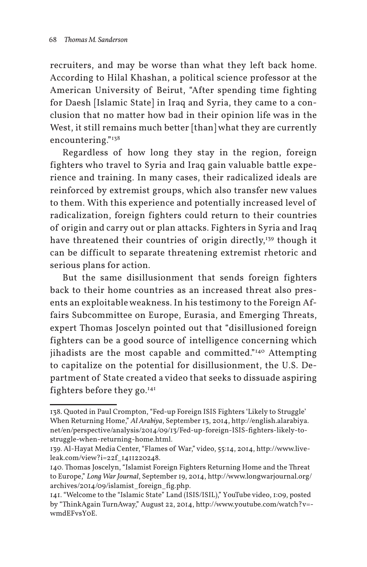recruiters, and may be worse than what they left back home. According to Hilal Khashan, a political science professor at the American University of Beirut, "After spending time fighting for Daesh [Islamic State] in Iraq and Syria, they came to a conclusion that no matter how bad in their opinion life was in the West, it still remains much better [than] what they are currently encountering."138

Regardless of how long they stay in the region, foreign fighters who travel to Syria and Iraq gain valuable battle experience and training. In many cases, their radicalized ideals are reinforced by extremist groups, which also transfer new values to them. With this experience and potentially increased level of radicalization, foreign fighters could return to their countries of origin and carry out or plan attacks. Fighters in Syria and Iraq have threatened their countries of origin directly,<sup>139</sup> though it can be difficult to separate threatening extremist rhetoric and serious plans for action.

But the same disillusionment that sends foreign fighters back to their home countries as an increased threat also presents an exploitable weakness. In his testimony to the Foreign Affairs Subcommittee on Europe, Eurasia, and Emerging Threats, expert Thomas Joscelyn pointed out that "disillusioned foreign fighters can be a good source of intelligence concerning which jihadists are the most capable and committed."<sup>140</sup> Attempting to capitalize on the potential for disillusionment, the U.S. Department of State created a video that seeks to dissuade aspiring fighters before they go.<sup>141</sup>

<sup>138.</sup> Quoted in Paul Crompton, "Fed-up Foreign ISIS Fighters 'Likely to Struggle' When Returning Home," *Al Arabiya*, September 13, 2014, http://english.alarabiya. net/en/perspective/analysis/2014/09/13/Fed-up-foreign-ISIS-fighters-likely-tostruggle-when-returning-home.html.

<sup>139.</sup> Al-Hayat Media Center, "Flames of War," video, 55:14, 2014, http://www.liveleak.com/view?i=22f\_1411220248.

<sup>140.</sup> Thomas Joscelyn, "Islamist Foreign Fighters Returning Home and the Threat to Europe," *Long War Journal*, September 19, 2014, http://www.longwarjournal.org/ archives/2014/09/islamist\_foreign\_fig.php.

<sup>141. &</sup>quot;Welcome to the "Islamic State" Land (ISIS/ISIL)," YouTube video, 1:09, posted by "ThinkAgain TurnAway," August 22, 2014, http://www.youtube.com/watch?v= wmdEFvsY0E.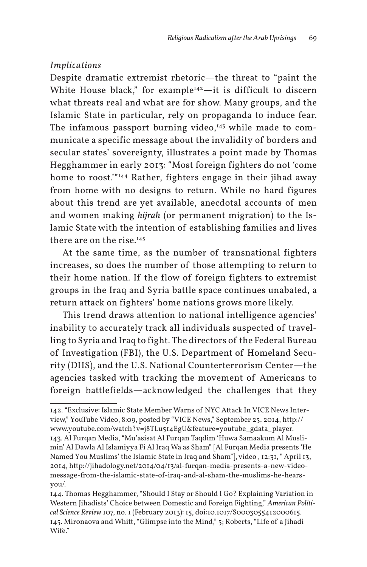#### *Implications*

Despite dramatic extremist rhetoric—the threat to "paint the White House black," for example $142$ -it is difficult to discern what threats real and what are for show. Many groups, and the Islamic State in particular, rely on propaganda to induce fear. The infamous passport burning video,<sup>143</sup> while made to communicate a specific message about the invalidity of borders and secular states' sovereignty, illustrates a point made by Thomas Hegghammer in early 2013: "Most foreign fighters do not 'come home to roost.'"144 Rather, fighters engage in their jihad away from home with no designs to return. While no hard figures about this trend are yet available, anecdotal accounts of men and women making *hijrah* (or permanent migration) to the Islamic State with the intention of establishing families and lives there are on the rise.<sup>145</sup>

At the same time, as the number of transnational fighters increases, so does the number of those attempting to return to their home nation. If the flow of foreign fighters to extremist groups in the Iraq and Syria battle space continues unabated, a return attack on fighters' home nations grows more likely.

This trend draws attention to national intelligence agencies' inability to accurately track all individuals suspected of travelling to Syria and Iraq to fight. The directors of the Federal Bureau of Investigation (FBI), the U.S. Department of Homeland Security (DHS), and the U.S. National Counterterrorism Center—the agencies tasked with tracking the movement of Americans to foreign battlefields—acknowledged the challenges that they

<sup>142. &</sup>quot;Exclusive: Islamic State Member Warns of NYC Attack In VICE News Interview," YouTube Video, 8:09, posted by "VICE News," September 25, 2014, http:// www.youtube.com/watch?v=j8TLu514EgU&feature=youtube\_gdata\_player. 143. Al Furqan Media, "Mu'asisat Al Furqan Taqdim 'Huwa Samaakum Al Muslimin' Al Dawla Al Islamiyya Fi Al Iraq Wa as Sham" [Al Furqan Media presents 'He Named You Muslims' the Islamic State in Iraq and Sham"], video , 12:31, " April 13, 2014, http://jihadology.net/2014/04/13/al-furqan-media-presents-a-new-videomessage-from-the-islamic-state-of-iraq-and-al-sham-the-muslims-he-hearsyou/.

<sup>144.</sup> Thomas Hegghammer, "Should I Stay or Should I Go? Explaining Variation in Western Jihadists' Choice between Domestic and Foreign Fighting," *American Political Science Review* 107, no. 1 (February 2013): 15, doi:10.1017/S0003055412000615. 145. Mironaova and Whitt, "Glimpse into the Mind," 5; Roberts, "Life of a Jihadi Wife."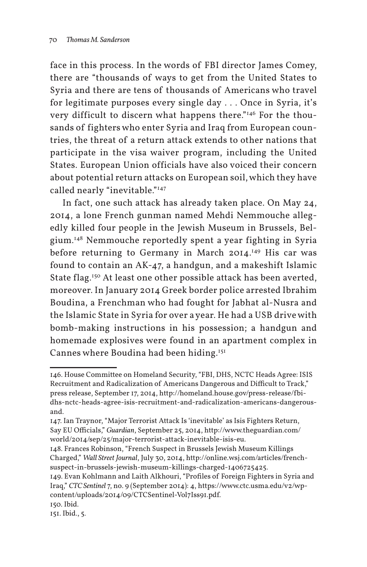face in this process. In the words of FBI director James Comey, there are "thousands of ways to get from the United States to Syria and there are tens of thousands of Americans who travel for legitimate purposes every single day . . . Once in Syria, it's very difficult to discern what happens there."146 For the thousands of fighters who enter Syria and Iraq from European countries, the threat of a return attack extends to other nations that participate in the visa waiver program, including the United States. European Union officials have also voiced their concern about potential return attacks on European soil, which they have called nearly "inevitable."<sup>147</sup>

In fact, one such attack has already taken place. On May 24, 2014, a lone French gunman named Mehdi Nemmouche allegedly killed four people in the Jewish Museum in Brussels, Belgium.148 Nemmouche reportedly spent a year fighting in Syria before returning to Germany in March 2014.<sup>149</sup> His car was found to contain an AK-47, a handgun, and a makeshift Islamic State flag.150 At least one other possible attack has been averted, moreover. In January 2014 Greek border police arrested Ibrahim Boudina, a Frenchman who had fought for Jabhat al-Nusra and the Islamic State in Syria for over a year. He had a USB drive with bomb-making instructions in his possession; a handgun and homemade explosives were found in an apartment complex in Cannes where Boudina had been hiding.151

<sup>146.</sup> House Committee on Homeland Security, "FBI, DHS, NCTC Heads Agree: ISIS Recruitment and Radicalization of Americans Dangerous and Difficult to Track," press release, September 17, 2014, http://homeland.house.gov/press-release/fbidhs-nctc-heads-agree-isis-recruitment-and-radicalization-americans-dangerousand.

<sup>147.</sup> Ian Traynor, "Major Terrorist Attack Is 'inevitable' as Isis Fighters Return, Say EU Officials," *Guardian*, September 25, 2014, http://www.theguardian.com/ world/2014/sep/25/major-terrorist-attack-inevitable-isis-eu.

<sup>148.</sup> Frances Robinson, "French Suspect in Brussels Jewish Museum Killings Charged," *Wall Street Journal*, July 30, 2014, http://online.wsj.com/articles/frenchsuspect-in-brussels-jewish-museum-killings-charged-1406725425.

<sup>149.</sup> Evan Kohlmann and Laith Alkhouri, "Profiles of Foreign Fighters in Syria and Iraq," *CTC Sentinel* 7, no. 9 (September 2014): 4, https://www.ctc.usma.edu/v2/wpcontent/uploads/2014/09/CTCSentinel-Vol7Iss91.pdf.

<sup>150.</sup> Ibid.

<sup>151.</sup> Ibid., 5.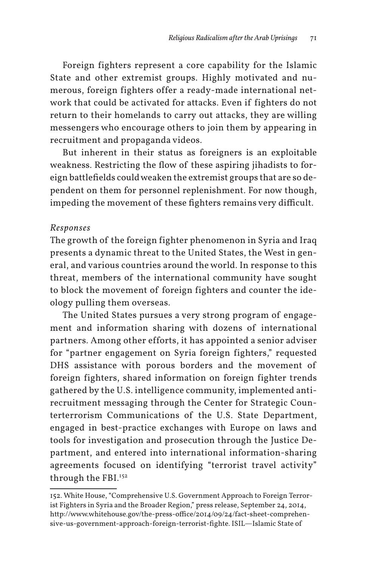Foreign fighters represent a core capability for the Islamic State and other extremist groups. Highly motivated and numerous, foreign fighters offer a ready-made international network that could be activated for attacks. Even if fighters do not return to their homelands to carry out attacks, they are willing messengers who encourage others to join them by appearing in recruitment and propaganda videos.

But inherent in their status as foreigners is an exploitable weakness. Restricting the flow of these aspiring jihadists to foreign battlefields could weaken the extremist groups that are so dependent on them for personnel replenishment. For now though, impeding the movement of these fighters remains very difficult.

#### *Responses*

The growth of the foreign fighter phenomenon in Syria and Iraq presents a dynamic threat to the United States, the West in general, and various countries around the world. In response to this threat, members of the international community have sought to block the movement of foreign fighters and counter the ideology pulling them overseas.

The United States pursues a very strong program of engagement and information sharing with dozens of international partners. Among other efforts, it has appointed a senior adviser for "partner engagement on Syria foreign fighters," requested DHS assistance with porous borders and the movement of foreign fighters, shared information on foreign fighter trends gathered by the U.S. intelligence community, implemented antirecruitment messaging through the Center for Strategic Counterterrorism Communications of the U.S. State Department, engaged in best-practice exchanges with Europe on laws and tools for investigation and prosecution through the Justice Department, and entered into international information-sharing agreements focused on identifying "terrorist travel activity" through the FBI.<sup>152</sup>

<sup>152.</sup> White House, "Comprehensive U.S. Government Approach to Foreign Terrorist Fighters in Syria and the Broader Region," press release, September 24, 2014, http://www.whitehouse.gov/the-press-office/2014/09/24/fact-sheet-comprehensive-us-government-approach-foreign-terrorist-fighte. ISIL—Islamic State of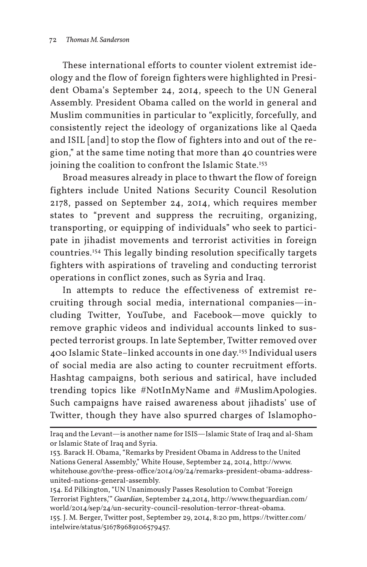These international efforts to counter violent extremist ideology and the flow of foreign fighters were highlighted in President Obama's September 24, 2014, speech to the UN General Assembly. President Obama called on the world in general and Muslim communities in particular to "explicitly, forcefully, and consistently reject the ideology of organizations like al Qaeda and ISIL [and] to stop the flow of fighters into and out of the region," at the same time noting that more than 40 countries were joining the coalition to confront the Islamic State.<sup>153</sup>

Broad measures already in place to thwart the flow of foreign fighters include United Nations Security Council Resolution 2178, passed on September 24, 2014, which requires member states to "prevent and suppress the recruiting, organizing, transporting, or equipping of individuals" who seek to participate in jihadist movements and terrorist activities in foreign countries.154 This legally binding resolution specifically targets fighters with aspirations of traveling and conducting terrorist operations in conflict zones, such as Syria and Iraq.

In attempts to reduce the effectiveness of extremist recruiting through social media, international companies—including Twitter, YouTube, and Facebook—move quickly to remove graphic videos and individual accounts linked to suspected terrorist groups. In late September, Twitter removed over 400 Islamic State–linked accounts in one day.155 Individual users of social media are also acting to counter recruitment efforts. Hashtag campaigns, both serious and satirical, have included trending topics like #NotInMyName and #MuslimApologies. Such campaigns have raised awareness about jihadists' use of Twitter, though they have also spurred charges of Islamopho-

Iraq and the Levant—is another name for ISIS—Islamic State of Iraq and al-Sham or Islamic State of Iraq and Syria.

<sup>153.</sup> Barack H. Obama, "Remarks by President Obama in Address to the United Nations General Assembly," White House, September 24, 2014, http://www. whitehouse.gov/the-press-office/2014/09/24/remarks-president-obama-addressunited-nations-general-assembly.

<sup>154.</sup> Ed Pilkington, "UN Unanimously Passes Resolution to Combat 'Foreign Terrorist Fighters,'" *Guardian*, September 24,2014, http://www.theguardian.com/ world/2014/sep/24/un-security-council-resolution-terror-threat-obama. 155. J. M. Berger, Twitter post, September 29, 2014, 8:20 pm, https://twitter.com/ intelwire/status/516789689106579457.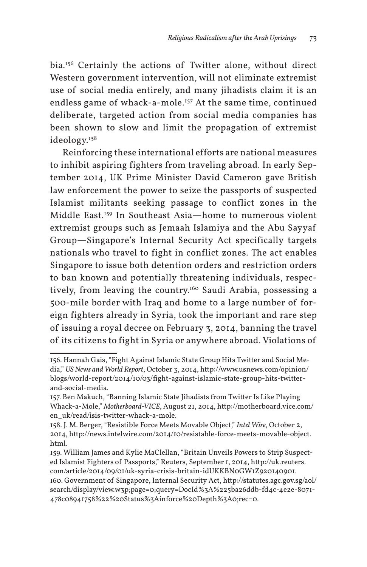bia.156 Certainly the actions of Twitter alone, without direct Western government intervention, will not eliminate extremist use of social media entirely, and many jihadists claim it is an endless game of whack-a-mole.157 At the same time, continued deliberate, targeted action from social media companies has been shown to slow and limit the propagation of extremist ideology.<sup>158</sup>

Reinforcing these international efforts are national measures to inhibit aspiring fighters from traveling abroad. In early September 2014, UK Prime Minister David Cameron gave British law enforcement the power to seize the passports of suspected Islamist militants seeking passage to conflict zones in the Middle East.159 In Southeast Asia—home to numerous violent extremist groups such as Jemaah Islamiya and the Abu Sayyaf Group—Singapore's Internal Security Act specifically targets nationals who travel to fight in conflict zones. The act enables Singapore to issue both detention orders and restriction orders to ban known and potentially threatening individuals, respectively, from leaving the country.<sup>160</sup> Saudi Arabia, possessing a 500-mile border with Iraq and home to a large number of foreign fighters already in Syria, took the important and rare step of issuing a royal decree on February 3, 2014, banning the travel of its citizens to fight in Syria or anywhere abroad. Violations of

<sup>156.</sup> Hannah Gais, "Fight Against Islamic State Group Hits Twitter and Social Media," *US News and World Report*, October 3, 2014, http://www.usnews.com/opinion/ blogs/world-report/2014/10/03/fight-against-islamic-state-group-hits-twitterand-social-media.

<sup>157.</sup> Ben Makuch, "Banning Islamic State Jihadists from Twitter Is Like Playing Whack-a-Mole," *Motherboard-VICE*, August 21, 2014, http://motherboard.vice.com/ en\_uk/read/isis-twitter-whack-a-mole.

<sup>158.</sup> J. M. Berger, "Resistible Force Meets Movable Object," *Intel Wire*, October 2, 2014, http://news.intelwire.com/2014/10/resistable-force-meets-movable-object. html.

<sup>159.</sup> William James and Kylie MaClellan, "Britain Unveils Powers to Strip Suspected Islamist Fighters of Passports," Reuters, September 1, 2014, http://uk.reuters. com/article/2014/09/01/uk-syria-crisis-britain-idUKKBN0GW1Z920140901. 160. Government of Singapore, Internal Security Act, http://statutes.agc.gov.sg/aol/ search/display/view.w3p;page=0;query=DocId%3A%225ba26ddb-fd4c-4e2e-8071- 478c08941758%22%20Status%3Ainforce%20Depth%3A0;rec=0.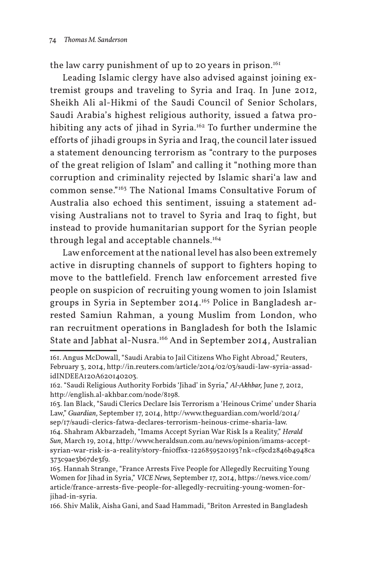the law carry punishment of up to 20 years in prison.<sup>161</sup>

Leading Islamic clergy have also advised against joining extremist groups and traveling to Syria and Iraq. In June 2012, Sheikh Ali al-Hikmi of the Saudi Council of Senior Scholars, Saudi Arabia's highest religious authority, issued a fatwa prohibiting any acts of jihad in Syria.<sup>162</sup> To further undermine the efforts of jihadi groups in Syria and Iraq, the council later issued a statement denouncing terrorism as "contrary to the purposes of the great religion of Islam" and calling it "nothing more than corruption and criminality rejected by Islamic shari'a law and common sense."163 The National Imams Consultative Forum of Australia also echoed this sentiment, issuing a statement advising Australians not to travel to Syria and Iraq to fight, but instead to provide humanitarian support for the Syrian people through legal and acceptable channels.<sup>164</sup>

Law enforcement at the national level has also been extremely active in disrupting channels of support to fighters hoping to move to the battlefield. French law enforcement arrested five people on suspicion of recruiting young women to join Islamist groups in Syria in September 2014.<sup>165</sup> Police in Bangladesh arrested Samiun Rahman, a young Muslim from London, who ran recruitment operations in Bangladesh for both the Islamic State and Jabhat al-Nusra.166 And in September 2014, Australian

166. Shiv Malik, Aisha Gani, and Saad Hammadi, "Briton Arrested in Bangladesh

<sup>161.</sup> Angus McDowall, "Saudi Arabia to Jail Citizens Who Fight Abroad," Reuters, February 3, 2014, http://in.reuters.com/article/2014/02/03/saudi-law-syria-assadidINDEEA120A620140203.

<sup>162. &</sup>quot;Saudi Religious Authority Forbids 'Jihad' in Syria," *Al-Akhbar,* June 7, 2012, http://english.al-akhbar.com/node/8198.

<sup>163.</sup> Ian Black, "Saudi Clerics Declare Isis Terrorism a 'Heinous Crime' under Sharia Law," *Guardian,* September 17, 2014, http://www.theguardian.com/world/2014/ sep/17/saudi-clerics-fatwa-declares-terrorism-heinous-crime-sharia-law.

<sup>164.</sup> Shahram Akbarzadeh, "Imams Accept Syrian War Risk Is a Reality," *Herald Sun,* March 19, 2014, http://www.heraldsun.com.au/news/opinion/imams-acceptsyrian-war-risk-is-a-reality/story-fni0ffsx-1226859520193?nk=cf9cd2846b4948ca 373c9ae3b67de3f9.

<sup>165.</sup> Hannah Strange, "France Arrests Five People for Allegedly Recruiting Young Women for Jihad in Syria," *VICE News,* September 17, 2014, https://news.vice.com/ article/france-arrests-five-people-for-allegedly-recruiting-young-women-forjihad-in-syria.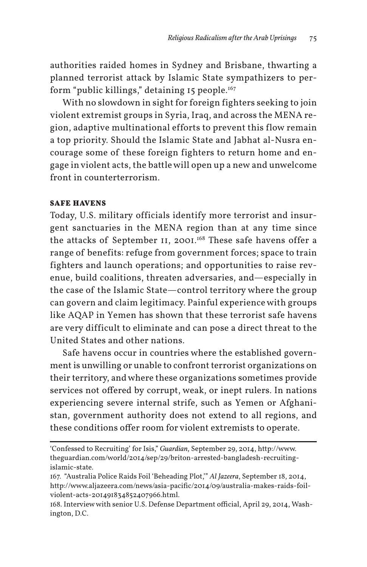authorities raided homes in Sydney and Brisbane, thwarting a planned terrorist attack by Islamic State sympathizers to perform "public killings," detaining  $15$  people.<sup>167</sup>

With no slowdown in sight for foreign fighters seeking to join violent extremist groups in Syria, Iraq, and across the MENA region, adaptive multinational efforts to prevent this flow remain a top priority. Should the Islamic State and Jabhat al-Nusra encourage some of these foreign fighters to return home and engage in violent acts, the battle will open up a new and unwelcome front in counterterrorism.

#### **SAFE HAVENS**

Today, U.S. military officials identify more terrorist and insurgent sanctuaries in the MENA region than at any time since the attacks of September II, 2001.<sup>168</sup> These safe havens offer a range of benefits: refuge from government forces; space to train fighters and launch operations; and opportunities to raise revenue, build coalitions, threaten adversaries, and—especially in the case of the Islamic State—control territory where the group can govern and claim legitimacy. Painful experience with groups like AQAP in Yemen has shown that these terrorist safe havens are very difficult to eliminate and can pose a direct threat to the United States and other nations.

Safe havens occur in countries where the established government is unwilling or unable to confront terrorist organizations on their territory, and where these organizations sometimes provide services not offered by corrupt, weak, or inept rulers. In nations experiencing severe internal strife, such as Yemen or Afghanistan, government authority does not extend to all regions, and these conditions offer room for violent extremists to operate.

<sup>&#</sup>x27;Confessed to Recruiting' for Isis," *Guardian,* September 29, 2014, http://www. theguardian.com/world/2014/sep/29/briton-arrested-bangladesh-recruitingislamic-state.

<sup>167. &</sup>quot;Australia Police Raids Foil 'Beheading Plot,'" *Al Jazeera*, September 18, 2014, http://www.aljazeera.com/news/asia-pacific/2014/09/australia-makes-raids-foilviolent-acts-201491834852407966.html.

<sup>168.</sup> Interview with senior U.S. Defense Department official, April 29, 2014, Washington, D.C.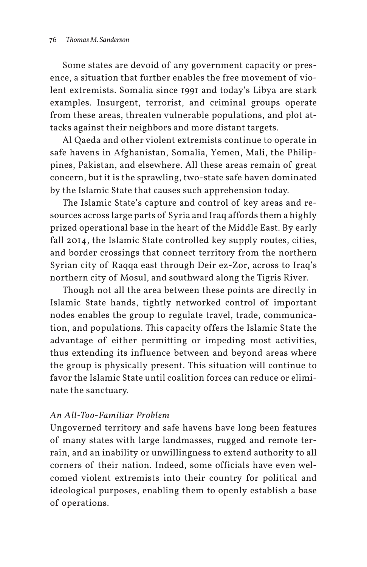Some states are devoid of any government capacity or presence, a situation that further enables the free movement of violent extremists. Somalia since 1991 and today's Libya are stark examples. Insurgent, terrorist, and criminal groups operate from these areas, threaten vulnerable populations, and plot attacks against their neighbors and more distant targets.

Al Qaeda and other violent extremists continue to operate in safe havens in Afghanistan, Somalia, Yemen, Mali, the Philippines, Pakistan, and elsewhere. All these areas remain of great concern, but it is the sprawling, two-state safe haven dominated by the Islamic State that causes such apprehension today.

The Islamic State's capture and control of key areas and resources across large parts of Syria and Iraq affords them a highly prized operational base in the heart of the Middle East. By early fall 2014, the Islamic State controlled key supply routes, cities, and border crossings that connect territory from the northern Syrian city of Raqqa east through Deir ez-Zor, across to Iraq's northern city of Mosul, and southward along the Tigris River.

Though not all the area between these points are directly in Islamic State hands, tightly networked control of important nodes enables the group to regulate travel, trade, communication, and populations. This capacity offers the Islamic State the advantage of either permitting or impeding most activities, thus extending its influence between and beyond areas where the group is physically present. This situation will continue to favor the Islamic State until coalition forces can reduce or eliminate the sanctuary.

## *An All-Too-Familiar Problem*

Ungoverned territory and safe havens have long been features of many states with large landmasses, rugged and remote terrain, and an inability or unwillingness to extend authority to all corners of their nation. Indeed, some officials have even welcomed violent extremists into their country for political and ideological purposes, enabling them to openly establish a base of operations.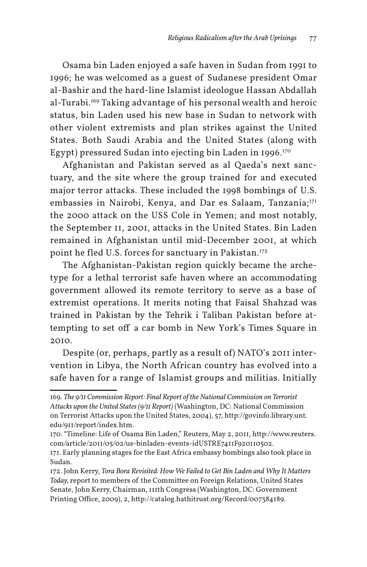Osama bin Laden enjoyed a safe haven in Sudan from 1991 to 1996; he was welcomed as a guest of Sudanese president Omar al-Bashir and the hard-line Islamist ideologue Hassan Abdallah al-Turabi.<sup>169</sup> Taking advantage of his personal wealth and heroic status, bin Laden used his new base in Sudan to network with other violent extremists and plan strikes against the United States. Both Saudi Arabia and the United States (along with Egypt) pressured Sudan into ejecting bin Laden in 1996.<sup>170</sup>

Afghanistan and Pakistan served as al Qaeda's next sanctuary, and the site where the group trained for and executed major terror attacks. These included the 1998 bombings of U.S. embassies in Nairobi, Kenya, and Dar es Salaam, Tanzania;<sup>171</sup> the 2000 attack on the USS Cole in Yemen; and most notably, the September 11, 2001, attacks in the United States. Bin Laden remained in Afghanistan until mid-December 2001, at which point he fled U.S. forces for sanctuary in Pakistan.<sup>172</sup>

The Afghanistan-Pakistan region quickly became the archetype for a lethal terrorist safe haven where an accommodating government allowed its remote territory to serve as a base of extremist operations. It merits noting that Faisal Shahzad was trained in Pakistan by the Tehrik i Taliban Pakistan before attempting to set off a car bomb in New York's Times Square in 2010.

Despite (or, perhaps, partly as a result of) NATO's 2011 intervention in Libya, the North African country has evolved into a safe haven for a range of Islamist groups and militias. Initially

<sup>169.</sup> *The 9/11 Commission Report: Final Report of the National Commission on Terrorist Attacks upon the United States (9/11 Report)* (Washington, DC: National Commission on Terrorist Attacks upon the United States, 2004), 57, http://govinfo.library.unt. edu/911/report/index.htm.

<sup>170. &</sup>quot;Timeline: Life of Osama Bin Laden," Reuters, May 2, 2011, http://www.reuters. com/article/2011/05/02/us-binladen-events-idUSTRE7411F920110502.

<sup>171.</sup> Early planning stages for the East Africa embassy bombings also took place in Sudan.

<sup>172.</sup> John Kerry, *Tora Bora Revisited: How We Failed to Get Bin Laden and Why It Matters Today,* report to members of the Committee on Foreign Relations, United States Senate, John Kerry, Chairman, 111th Congress (Washington, DC: Government Printing Office, 2009), 2, http://catalog.hathitrust.org/Record/007384189.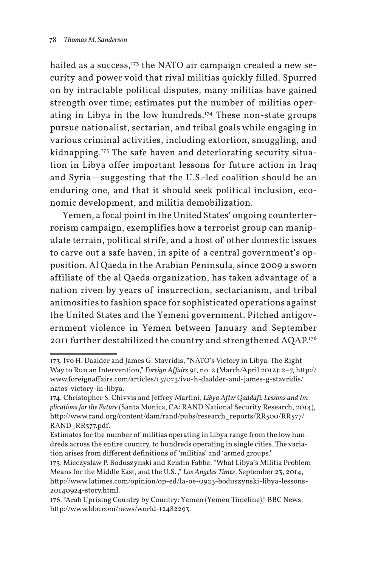hailed as a success,<sup>173</sup> the NATO air campaign created a new security and power void that rival militias quickly filled. Spurred on by intractable political disputes, many militias have gained strength over time; estimates put the number of militias operating in Libya in the low hundreds.<sup>174</sup> These non-state groups pursue nationalist, sectarian, and tribal goals while engaging in various criminal activities, including extortion, smuggling, and kidnapping.<sup>175</sup> The safe haven and deteriorating security situation in Libya offer important lessons for future action in Iraq and Syria—suggesting that the U.S.-led coalition should be an enduring one, and that it should seek political inclusion, economic development, and militia demobilization.

Yemen, a focal point in the United States' ongoing counterterrorism campaign, exemplifies how a terrorist group can manipulate terrain, political strife, and a host of other domestic issues to carve out a safe haven, in spite of a central government's opposition. Al Qaeda in the Arabian Peninsula, since 2009 a sworn affiliate of the al Qaeda organization, has taken advantage of a nation riven by years of insurrection, sectarianism, and tribal animosities to fashion space for sophisticated operations against the United States and the Yemeni government. Pitched antigovernment violence in Yemen between January and September 2011 further destabilized the country and strengthened AQAP.<sup>176</sup>

<sup>173.</sup> Ivo H. Daalder and James G. Stavridis, "NATO's Victory in Libya: The Right Way to Run an Intervention," *Foreign Affairs* 91, no. 2 (March/April 2012): 2–7, http:// www.foreignaffairs.com/articles/137073/ivo-h-daalder-and-james-g-stavridis/ natos-victory-in-libya.

<sup>174.</sup> Christopher S. Chivvis and Jeffrey Martini, *Libya After Qaddafi: Lessons and Implications for the Future* (Santa Monica, CA: RAND National Security Research, 2014), http://www.rand.org/content/dam/rand/pubs/research\_reports/RR500/RR577/ RAND\_RR577.pdf.

Estimates for the number of militias operating in Libya range from the low hundreds across the entire country, to hundreds operating in single cities. The variation arises from different definitions of 'militias' and 'armed groups.'

<sup>175.</sup> Mieczyslaw P. Boduszynski and Kristin Fabbe, "What Libya's Militia Problem Means for the Middle East, and the U.S. ," *Los Angeles Times*, September 23, 2014, http://www.latimes.com/opinion/op-ed/la-oe-0923-boduszynski-libya-lessons-20140924-story.html.

<sup>176. &</sup>quot;Arab Uprising Country by Country: Yemen (Yemen Timeline)," BBC News, http://www.bbc.com/news/world-12482293.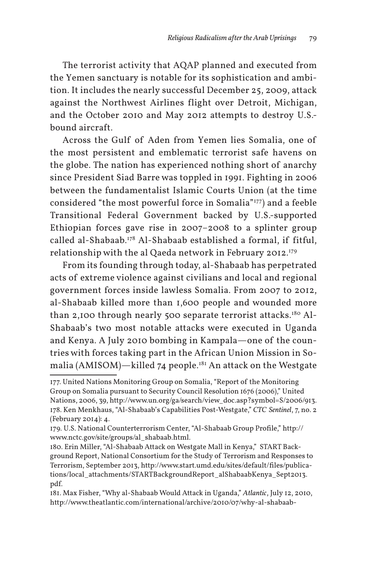The terrorist activity that AQAP planned and executed from the Yemen sanctuary is notable for its sophistication and ambition. It includes the nearly successful December 25, 2009, attack against the Northwest Airlines flight over Detroit, Michigan, and the October 2010 and May 2012 attempts to destroy U.S. bound aircraft.

Across the Gulf of Aden from Yemen lies Somalia, one of the most persistent and emblematic terrorist safe havens on the globe. The nation has experienced nothing short of anarchy since President Siad Barre was toppled in 1991. Fighting in 2006 between the fundamentalist Islamic Courts Union (at the time considered "the most powerful force in Somalia"<sup>177</sup>) and a feeble Transitional Federal Government backed by U.S.-supported Ethiopian forces gave rise in 2007–2008 to a splinter group called al-Shabaab.178 Al-Shabaab established a formal, if fitful, relationship with the al Qaeda network in February 2012.<sup>179</sup>

From its founding through today, al-Shabaab has perpetrated acts of extreme violence against civilians and local and regional government forces inside lawless Somalia. From 2007 to 2012, al-Shabaab killed more than 1,600 people and wounded more than 2,100 through nearly 500 separate terrorist attacks.<sup>180</sup> Al-Shabaab's two most notable attacks were executed in Uganda and Kenya. A July 2010 bombing in Kampala—one of the countries with forces taking part in the African Union Mission in Somalia (AMISOM)—killed 74 people.<sup>181</sup> An attack on the Westgate

<sup>177.</sup> United Nations Monitoring Group on Somalia, "Report of the Monitoring Group on Somalia pursuant to Security Council Resolution 1676 (2006)," United Nations, 2006, 39, http://www.un.org/ga/search/view\_doc.asp?symbol=S/2006/913. 178. Ken Menkhaus, "Al-Shabaab's Capabilities Post-Westgate," *CTC Sentinel*, 7, no. 2 (February 2014): 4.

<sup>179.</sup> U.S. National Counterterrorism Center, "Al-Shabaab Group Profile," http:// www.nctc.gov/site/groups/al\_shabaab.html.

<sup>180.</sup> Erin Miller, "Al-Shabaab Attack on Westgate Mall in Kenya," START Background Report, National Consortium for the Study of Terrorism and Responses to Terrorism, September 2013, http://www.start.umd.edu/sites/default/files/publications/local\_attachments/STARTBackgroundReport\_alShabaabKenya\_Sept2013. pdf.

<sup>181.</sup> Max Fisher, "Why al-Shabaab Would Attack in Uganda," *Atlantic*, July 12, 2010, http://www.theatlantic.com/international/archive/2010/07/why-al-shabaab-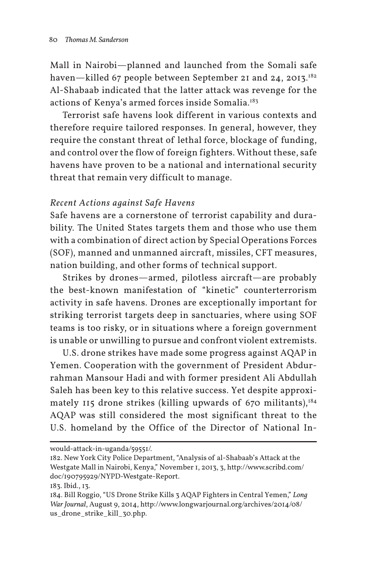Mall in Nairobi—planned and launched from the Somali safe haven—killed 67 people between September 21 and 24, 2013.<sup>182</sup> Al-Shabaab indicated that the latter attack was revenge for the actions of Kenya's armed forces inside Somalia.<sup>183</sup>

Terrorist safe havens look different in various contexts and therefore require tailored responses. In general, however, they require the constant threat of lethal force, blockage of funding, and control over the flow of foreign fighters. Without these, safe havens have proven to be a national and international security threat that remain very difficult to manage.

## *Recent Actions against Safe Havens*

Safe havens are a cornerstone of terrorist capability and durability. The United States targets them and those who use them with a combination of direct action by Special Operations Forces (SOF), manned and unmanned aircraft, missiles, CFT measures, nation building, and other forms of technical support.

Strikes by drones—armed, pilotless aircraft—are probably the best-known manifestation of "kinetic" counterterrorism activity in safe havens. Drones are exceptionally important for striking terrorist targets deep in sanctuaries, where using SOF teams is too risky, or in situations where a foreign government is unable or unwilling to pursue and confront violent extremists.

U.S. drone strikes have made some progress against AQAP in Yemen. Cooperation with the government of President Abdurrahman Mansour Hadi and with former president Ali Abdullah Saleh has been key to this relative success. Yet despite approximately 115 drone strikes (killing upwards of 670 militants), $184$ AQAP was still considered the most significant threat to the U.S. homeland by the Office of the Director of National In-

would-attack-in-uganda/59551/.

<sup>182.</sup> New York City Police Department, "Analysis of al-Shabaab's Attack at the Westgate Mall in Nairobi, Kenya," November 1, 2013, 3, http://www.scribd.com/ doc/190795929/NYPD-Westgate-Report.

<sup>183.</sup> Ibid., 13.

<sup>184.</sup> Bill Roggio, "US Drone Strike Kills 3 AQAP Fighters in Central Yemen," *Long War Journal*, August 9, 2014, http://www.longwarjournal.org/archives/2014/08/ us drone strike kill 30.php.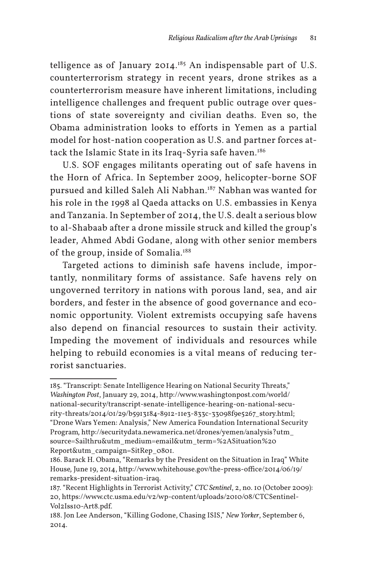telligence as of January 2014.<sup>185</sup> An indispensable part of U.S. counterterrorism strategy in recent years, drone strikes as a counterterrorism measure have inherent limitations, including intelligence challenges and frequent public outrage over questions of state sovereignty and civilian deaths. Even so, the Obama administration looks to efforts in Yemen as a partial model for host-nation cooperation as U.S. and partner forces attack the Islamic State in its Iraq-Syria safe haven.<sup>186</sup>

U.S. SOF engages militants operating out of safe havens in the Horn of Africa. In September 2009, helicopter-borne SOF pursued and killed Saleh Ali Nabhan.187 Nabhan was wanted for his role in the 1998 al Qaeda attacks on U.S. embassies in Kenya and Tanzania. In September of 2014, the U.S. dealt a serious blow to al-Shabaab after a drone missile struck and killed the group's leader, Ahmed Abdi Godane, along with other senior members of the group, inside of Somalia.188

Targeted actions to diminish safe havens include, importantly, nonmilitary forms of assistance. Safe havens rely on ungoverned territory in nations with porous land, sea, and air borders, and fester in the absence of good governance and economic opportunity. Violent extremists occupying safe havens also depend on financial resources to sustain their activity. Impeding the movement of individuals and resources while helping to rebuild economies is a vital means of reducing terrorist sanctuaries.

<sup>185. &</sup>quot;Transcript: Senate Intelligence Hearing on National Security Threats," *Washington Post*, January 29, 2014, http://www.washingtonpost.com/world/ national-security/transcript-senate-intelligence-hearing-on-national-security-threats/2014/01/29/b5913184-8912-11e3-833c-33098f9e5267\_story.html; "Drone Wars Yemen: Analysis," New America Foundation International Security Program*,* http://securitydata.newamerica.net/drones/yemen/analysis?utm\_ source=Sailthru&utm\_medium=email&utm\_term=%2ASituation%20 Report&utm\_campaign=SitRep\_0801.

<sup>186.</sup> Barack H. Obama, "Remarks by the President on the Situation in Iraq" White House*,* June 19, 2014, http://www.whitehouse.gov/the-press-office/2014/06/19/ remarks-president-situation-iraq.

<sup>187. &</sup>quot;Recent Highlights in Terrorist Activity," *CTC Sentinel*, 2, no. 10 (October 2009): 20, https://www.ctc.usma.edu/v2/wp-content/uploads/2010/08/CTCSentinel-Vol2Iss10-Art8.pdf.

<sup>188.</sup> Jon Lee Anderson, "Killing Godone, Chasing ISIS," *New Yorker*, September 6, 2014.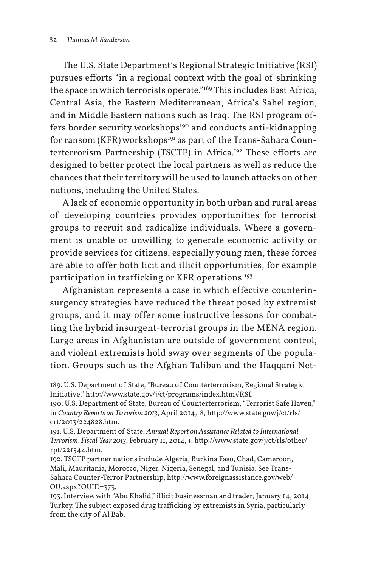The U.S. State Department's Regional Strategic Initiative (RSI) pursues efforts "in a regional context with the goal of shrinking the space in which terrorists operate."<sup>189</sup> This includes East Africa, Central Asia, the Eastern Mediterranean, Africa's Sahel region, and in Middle Eastern nations such as Iraq. The RSI program offers border security workshops<sup>190</sup> and conducts anti-kidnapping for ransom (KFR) workshops<sup>191</sup> as part of the Trans-Sahara Counterterrorism Partnership (TSCTP) in Africa.<sup>192</sup> These efforts are designed to better protect the local partners as well as reduce the chances that their territory will be used to launch attacks on other nations, including the United States.

A lack of economic opportunity in both urban and rural areas of developing countries provides opportunities for terrorist groups to recruit and radicalize individuals. Where a government is unable or unwilling to generate economic activity or provide services for citizens, especially young men, these forces are able to offer both licit and illicit opportunities, for example participation in trafficking or KFR operations.<sup>193</sup>

Afghanistan represents a case in which effective counterinsurgency strategies have reduced the threat posed by extremist groups, and it may offer some instructive lessons for combatting the hybrid insurgent-terrorist groups in the MENA region. Large areas in Afghanistan are outside of government control, and violent extremists hold sway over segments of the population. Groups such as the Afghan Taliban and the Haqqani Net-

<sup>189.</sup> U.S. Department of State, "Bureau of Counterterrorism, Regional Strategic Initiative," http://www.state.gov/j/ct/programs/index.htm#RSI.

<sup>190.</sup> U.S. Department of State, Bureau of Counterterrorism, "Terrorist Safe Haven," in *Country Reports on Terrorism 2013*, April 2014, 8, http://www.state.gov/j/ct/rls/ crt/2013/224828.htm.

<sup>191.</sup> U.S. Department of State, *Annual Report on Assistance Related to International Terrorism: Fiscal Year 2013*, February 11, 2014, 1, http://www.state.gov/j/ct/rls/other/ rpt/221544.htm.

<sup>192.</sup> TSCTP partner nations include Algeria, Burkina Faso, Chad, Cameroon, Mali, Mauritania, Morocco, Niger, Nigeria, Senegal, and Tunisia. See Trans-Sahara Counter-Terror Partnership, http://www.foreignassistance.gov/web/ OU.aspx?OUID=373.

<sup>193.</sup> Interview with "Abu Khalid," illicit businessman and trader, January 14, 2014, Turkey. The subject exposed drug trafficking by extremists in Syria, particularly from the city of Al Bab.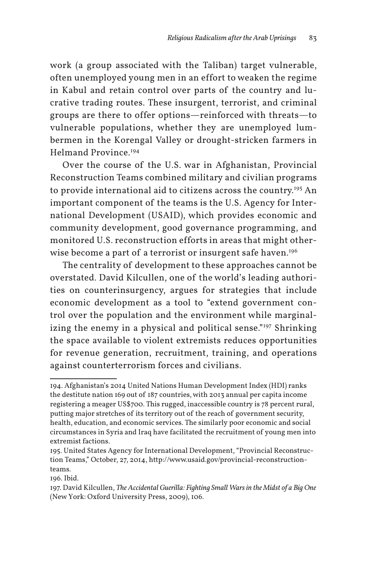work (a group associated with the Taliban) target vulnerable, often unemployed young men in an effort to weaken the regime in Kabul and retain control over parts of the country and lucrative trading routes. These insurgent, terrorist, and criminal groups are there to offer options—reinforced with threats—to vulnerable populations, whether they are unemployed lumbermen in the Korengal Valley or drought-stricken farmers in Helmand Province.194

Over the course of the U.S. war in Afghanistan, Provincial Reconstruction Teams combined military and civilian programs to provide international aid to citizens across the country.<sup>195</sup> An important component of the teams is the U.S. Agency for International Development (USAID), which provides economic and community development, good governance programming, and monitored U.S. reconstruction efforts in areas that might otherwise become a part of a terrorist or insurgent safe haven.<sup>196</sup>

The centrality of development to these approaches cannot be overstated. David Kilcullen, one of the world's leading authorities on counterinsurgency, argues for strategies that include economic development as a tool to "extend government control over the population and the environment while marginalizing the enemy in a physical and political sense."<sup>197</sup> Shrinking the space available to violent extremists reduces opportunities for revenue generation, recruitment, training, and operations against counterterrorism forces and civilians.

196. Ibid.

<sup>194.</sup> Afghanistan's 2014 United Nations Human Development Index (HDI) ranks the destitute nation 169 out of 187 countries, with 2013 annual per capita income registering a meager US\$700. This rugged, inaccessible country is 78 percent rural, putting major stretches of its territory out of the reach of government security, health, education, and economic services. The similarly poor economic and social circumstances in Syria and Iraq have facilitated the recruitment of young men into extremist factions.

<sup>195.</sup> United States Agency for International Development, "Provincial Reconstruction Teams," October, 27, 2014, http://www.usaid.gov/provincial-reconstructionteams.

<sup>197.</sup> David Kilcullen, *The Accidental Guerilla: Fighting Small Wars in the Midst of a Big One* (New York: Oxford University Press, 2009), 106.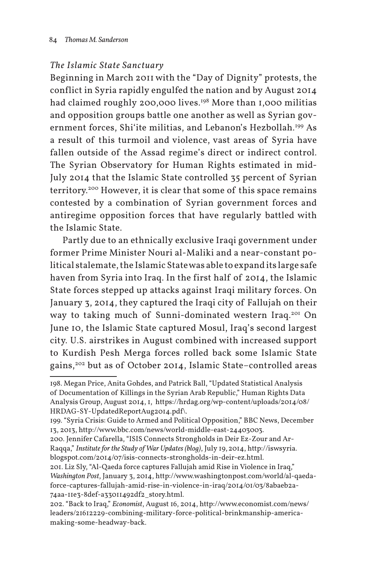## *The Islamic State Sanctuary*

Beginning in March 2011 with the "Day of Dignity" protests, the conflict in Syria rapidly engulfed the nation and by August 2014 had claimed roughly 200,000 lives.<sup>198</sup> More than 1,000 militias and opposition groups battle one another as well as Syrian government forces, Shi'ite militias, and Lebanon's Hezbollah.199 As a result of this turmoil and violence, vast areas of Syria have fallen outside of the Assad regime's direct or indirect control. The Syrian Observatory for Human Rights estimated in mid-July 2014 that the Islamic State controlled 35 percent of Syrian territory.<sup>200</sup> However, it is clear that some of this space remains contested by a combination of Syrian government forces and antiregime opposition forces that have regularly battled with the Islamic State.

Partly due to an ethnically exclusive Iraqi government under former Prime Minister Nouri al-Maliki and a near-constant political stalemate, the Islamic State was able to expand its large safe haven from Syria into Iraq. In the first half of 2014, the Islamic State forces stepped up attacks against Iraqi military forces. On January 3, 2014, they captured the Iraqi city of Fallujah on their way to taking much of Sunni-dominated western Iraq.201 On June 10, the Islamic State captured Mosul, Iraq's second largest city. U.S. airstrikes in August combined with increased support to Kurdish Pesh Merga forces rolled back some Islamic State gains,202 but as of October 2014, Islamic State–controlled areas

<sup>198.</sup> Megan Price, Anita Gohdes, and Patrick Ball, "Updated Statistical Analysis of Documentation of Killings in the Syrian Arab Republic," Human Rights Data Analysis Group, August 2014, 1, https://hrdag.org/wp-content/uploads/2014/08/ HRDAG-SY-UpdatedReportAug2014.pdf\.

<sup>199. &</sup>quot;Syria Crisis: Guide to Armed and Political Opposition," BBC News, December 13, 2013, http://www.bbc.com/news/world-middle-east-24403003.

<sup>200.</sup> Jennifer Cafarella, "ISIS Connects Strongholds in Deir Ez-Zour and Ar-Raqqa," *Institute for the Study of War Updates (blog)*, July 19,2014, http://iswsyria. blogspot.com/2014/07/isis-connects-strongholds-in-deir-ez.html.

<sup>201.</sup> Liz Sly, "Al-Qaeda force captures Fallujah amid Rise in Violence in Iraq," *Washington Post*, January 3, 2014, http://www.washingtonpost.com/world/al-qaedaforce-captures-fallujah-amid-rise-in-violence-in-iraq/2014/01/03/8abaeb2a-74aa-11e3-8def-a33011492df2\_story.html.

<sup>202. &</sup>quot;Back to Iraq," *Economist*, August 16, 2014, http://www.economist.com/news/ leaders/21612229-combining-military-force-political-brinkmanship-americamaking-some-headway-back.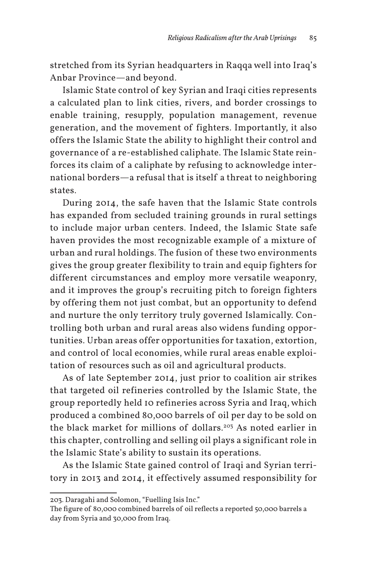stretched from its Syrian headquarters in Raqqa well into Iraq's Anbar Province—and beyond.

Islamic State control of key Syrian and Iraqi cities represents a calculated plan to link cities, rivers, and border crossings to enable training, resupply, population management, revenue generation, and the movement of fighters. Importantly, it also offers the Islamic State the ability to highlight their control and governance of a re-established caliphate. The Islamic State reinforces its claim of a caliphate by refusing to acknowledge international borders—a refusal that is itself a threat to neighboring states.

During 2014, the safe haven that the Islamic State controls has expanded from secluded training grounds in rural settings to include major urban centers. Indeed, the Islamic State safe haven provides the most recognizable example of a mixture of urban and rural holdings. The fusion of these two environments gives the group greater flexibility to train and equip fighters for different circumstances and employ more versatile weaponry, and it improves the group's recruiting pitch to foreign fighters by offering them not just combat, but an opportunity to defend and nurture the only territory truly governed Islamically. Controlling both urban and rural areas also widens funding opportunities. Urban areas offer opportunities for taxation, extortion, and control of local economies, while rural areas enable exploitation of resources such as oil and agricultural products.

As of late September 2014, just prior to coalition air strikes that targeted oil refineries controlled by the Islamic State, the group reportedly held 10 refineries across Syria and Iraq, which produced a combined 80,000 barrels of oil per day to be sold on the black market for millions of dollars.<sup>203</sup> As noted earlier in this chapter, controlling and selling oil plays a significant role in the Islamic State's ability to sustain its operations.

As the Islamic State gained control of Iraqi and Syrian territory in 2013 and 2014, it effectively assumed responsibility for

<sup>203.</sup> Daragahi and Solomon, "Fuelling Isis Inc."

The figure of 80,000 combined barrels of oil reflects a reported 50,000 barrels a day from Syria and 30,000 from Iraq.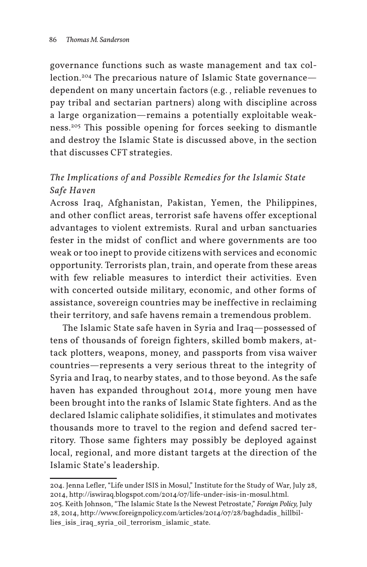governance functions such as waste management and tax collection.204 The precarious nature of Islamic State governance dependent on many uncertain factors (e.g. , reliable revenues to pay tribal and sectarian partners) along with discipline across a large organization—remains a potentially exploitable weakness.205 This possible opening for forces seeking to dismantle and destroy the Islamic State is discussed above, in the section that discusses CFT strategies.

# *The Implications of and Possible Remedies for the Islamic State Safe Haven*

Across Iraq, Afghanistan, Pakistan, Yemen, the Philippines, and other conflict areas, terrorist safe havens offer exceptional advantages to violent extremists. Rural and urban sanctuaries fester in the midst of conflict and where governments are too weak or too inept to provide citizens with services and economic opportunity. Terrorists plan, train, and operate from these areas with few reliable measures to interdict their activities. Even with concerted outside military, economic, and other forms of assistance, sovereign countries may be ineffective in reclaiming their territory, and safe havens remain a tremendous problem.

The Islamic State safe haven in Syria and Iraq—possessed of tens of thousands of foreign fighters, skilled bomb makers, attack plotters, weapons, money, and passports from visa waiver countries—represents a very serious threat to the integrity of Syria and Iraq, to nearby states, and to those beyond. As the safe haven has expanded throughout 2014, more young men have been brought into the ranks of Islamic State fighters. And as the declared Islamic caliphate solidifies, it stimulates and motivates thousands more to travel to the region and defend sacred territory. Those same fighters may possibly be deployed against local, regional, and more distant targets at the direction of the Islamic State's leadership.

<sup>204.</sup> Jenna Lefler, "Life under ISIS in Mosul," Institute for the Study of War, July 28, 2014, http://iswiraq.blogspot.com/2014/07/life-under-isis-in-mosul.html. 205. Keith Johnson, "The Islamic State Is the Newest Petrostate," *Foreign Policy,* July 28, 2014, http://www.foreignpolicy.com/articles/2014/07/28/baghdadis\_hillbillies isis iraq syria oil terrorism islamic state.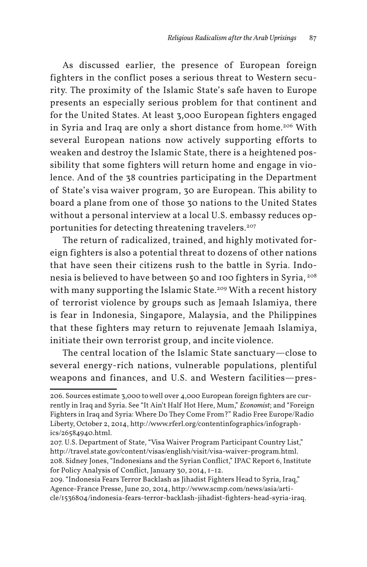As discussed earlier, the presence of European foreign fighters in the conflict poses a serious threat to Western security. The proximity of the Islamic State's safe haven to Europe presents an especially serious problem for that continent and for the United States. At least 3,000 European fighters engaged in Syria and Iraq are only a short distance from home.<sup>206</sup> With several European nations now actively supporting efforts to weaken and destroy the Islamic State, there is a heightened possibility that some fighters will return home and engage in violence. And of the 38 countries participating in the Department of State's visa waiver program, 30 are European. This ability to board a plane from one of those 30 nations to the United States without a personal interview at a local U.S. embassy reduces opportunities for detecting threatening travelers.<sup>207</sup>

The return of radicalized, trained, and highly motivated foreign fighters is also a potential threat to dozens of other nations that have seen their citizens rush to the battle in Syria. Indonesia is believed to have between 50 and 100 fighters in Syria, <sup>208</sup> with many supporting the Islamic State.<sup>209</sup> With a recent history of terrorist violence by groups such as Jemaah Islamiya, there is fear in Indonesia, Singapore, Malaysia, and the Philippines that these fighters may return to rejuvenate Jemaah Islamiya, initiate their own terrorist group, and incite violence.

The central location of the Islamic State sanctuary—close to several energy-rich nations, vulnerable populations, plentiful weapons and finances, and U.S. and Western facilities—pres-

<sup>206.</sup> Sources estimate 3,000 to well over 4,000 European foreign fighters are currently in Iraq and Syria. See "It Ain't Half Hot Here, Mum," *Economist*; and "Foreign Fighters in Iraq and Syria: Where Do They Come From?" Radio Free Europe/Radio Liberty, October 2, 2014, http://www.rferl.org/contentinfographics/infographics/26584940.html.

<sup>207.</sup> U.S. Department of State, "Visa Waiver Program Participant Country List," http://travel.state.gov/content/visas/english/visit/visa-waiver-program.html. 208. Sidney Jones, "Indonesians and the Syrian Conflict," IPAC Report 6, Institute for Policy Analysis of Conflict, January 30, 2014, 1–12.

<sup>209. &</sup>quot;Indonesia Fears Terror Backlash as Jihadist Fighters Head to Syria, Iraq," Agence-France Presse, June 20, 2014, http://www.scmp.com/news/asia/article/1536804/indonesia-fears-terror-backlash-jihadist-fighters-head-syria-iraq.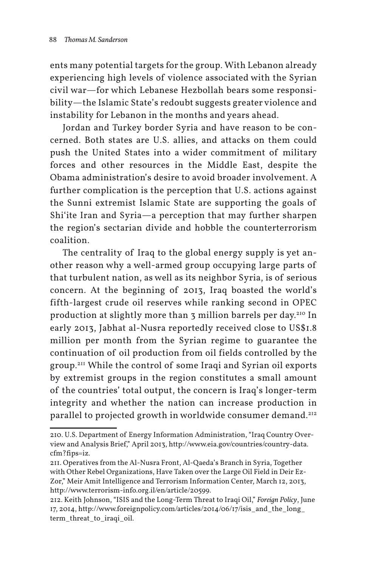ents many potential targets for the group. With Lebanon already experiencing high levels of violence associated with the Syrian civil war—for which Lebanese Hezbollah bears some responsibility—the Islamic State's redoubt suggests greater violence and instability for Lebanon in the months and years ahead.

Jordan and Turkey border Syria and have reason to be concerned. Both states are U.S. allies, and attacks on them could push the United States into a wider commitment of military forces and other resources in the Middle East, despite the Obama administration's desire to avoid broader involvement. A further complication is the perception that U.S. actions against the Sunni extremist Islamic State are supporting the goals of Shi'ite Iran and Syria—a perception that may further sharpen the region's sectarian divide and hobble the counterterrorism coalition.

The centrality of Iraq to the global energy supply is yet another reason why a well-armed group occupying large parts of that turbulent nation, as well as its neighbor Syria, is of serious concern. At the beginning of 2013, Iraq boasted the world's fifth-largest crude oil reserves while ranking second in OPEC production at slightly more than 3 million barrels per day.210 In early 2013, Jabhat al-Nusra reportedly received close to US\$1.8 million per month from the Syrian regime to guarantee the continuation of oil production from oil fields controlled by the group.211 While the control of some Iraqi and Syrian oil exports by extremist groups in the region constitutes a small amount of the countries' total output, the concern is Iraq's longer-term integrity and whether the nation can increase production in parallel to projected growth in worldwide consumer demand.212

<sup>210.</sup> U.S. Department of Energy Information Administration, "Iraq Country Overview and Analysis Brief," April 2013, http://www.eia.gov/countries/country-data. cfm?fips=iz.

<sup>211.</sup> Operatives from the Al-Nusra Front, Al-Qaeda's Branch in Syria, Together with Other Rebel Organizations, Have Taken over the Large Oil Field in Deir Ez-Zor," Meir Amit Intelligence and Terrorism Information Center, March 12, 2013, http://www.terrorism-info.org.il/en/article/20599.

<sup>212.</sup> Keith Johnson, "ISIS and the Long-Term Threat to Iraqi Oil," *Foreign Policy*, June 17, 2014, http://www.foreignpolicy.com/articles/2014/06/17/isis\_and\_the\_long\_ term\_threat\_to\_iraqi\_oil.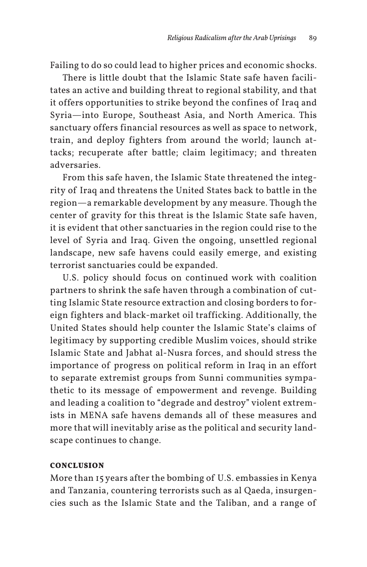Failing to do so could lead to higher prices and economic shocks.

There is little doubt that the Islamic State safe haven facilitates an active and building threat to regional stability, and that it offers opportunities to strike beyond the confines of Iraq and Syria—into Europe, Southeast Asia, and North America. This sanctuary offers financial resources as well as space to network, train, and deploy fighters from around the world; launch attacks; recuperate after battle; claim legitimacy; and threaten adversaries.

From this safe haven, the Islamic State threatened the integrity of Iraq and threatens the United States back to battle in the region—a remarkable development by any measure. Though the center of gravity for this threat is the Islamic State safe haven, it is evident that other sanctuaries in the region could rise to the level of Syria and Iraq. Given the ongoing, unsettled regional landscape, new safe havens could easily emerge, and existing terrorist sanctuaries could be expanded.

U.S. policy should focus on continued work with coalition partners to shrink the safe haven through a combination of cutting Islamic State resource extraction and closing borders to foreign fighters and black-market oil trafficking. Additionally, the United States should help counter the Islamic State's claims of legitimacy by supporting credible Muslim voices, should strike Islamic State and Jabhat al-Nusra forces, and should stress the importance of progress on political reform in Iraq in an effort to separate extremist groups from Sunni communities sympathetic to its message of empowerment and revenge. Building and leading a coalition to "degrade and destroy" violent extremists in MENA safe havens demands all of these measures and more that will inevitably arise as the political and security landscape continues to change.

#### **CONCLUSION**

More than 15 years after the bombing of U.S. embassies in Kenya and Tanzania, countering terrorists such as al Qaeda, insurgencies such as the Islamic State and the Taliban, and a range of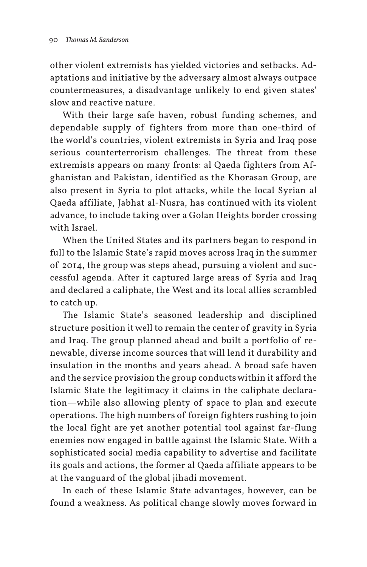other violent extremists has yielded victories and setbacks. Adaptations and initiative by the adversary almost always outpace countermeasures, a disadvantage unlikely to end given states' slow and reactive nature.

With their large safe haven, robust funding schemes, and dependable supply of fighters from more than one-third of the world's countries, violent extremists in Syria and Iraq pose serious counterterrorism challenges. The threat from these extremists appears on many fronts: al Qaeda fighters from Afghanistan and Pakistan, identified as the Khorasan Group, are also present in Syria to plot attacks, while the local Syrian al Qaeda affiliate, Jabhat al-Nusra, has continued with its violent advance, to include taking over a Golan Heights border crossing with Israel.

When the United States and its partners began to respond in full to the Islamic State's rapid moves across Iraq in the summer of 2014, the group was steps ahead, pursuing a violent and successful agenda. After it captured large areas of Syria and Iraq and declared a caliphate, the West and its local allies scrambled to catch up.

The Islamic State's seasoned leadership and disciplined structure position it well to remain the center of gravity in Syria and Iraq. The group planned ahead and built a portfolio of renewable, diverse income sources that will lend it durability and insulation in the months and years ahead. A broad safe haven and the service provision the group conducts within it afford the Islamic State the legitimacy it claims in the caliphate declaration—while also allowing plenty of space to plan and execute operations. The high numbers of foreign fighters rushing to join the local fight are yet another potential tool against far-flung enemies now engaged in battle against the Islamic State. With a sophisticated social media capability to advertise and facilitate its goals and actions, the former al Qaeda affiliate appears to be at the vanguard of the global jihadi movement.

In each of these Islamic State advantages, however, can be found a weakness. As political change slowly moves forward in